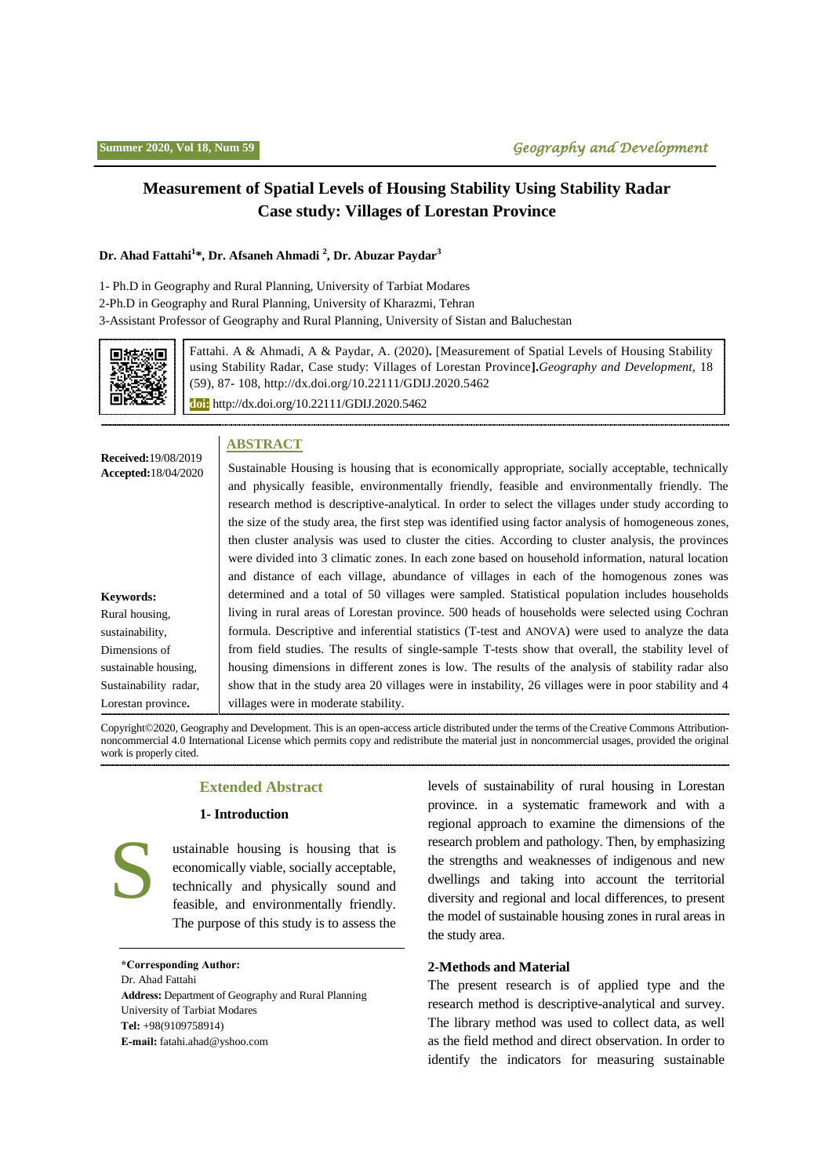## **Measurement of Spatial Levels of Housing Stability Using Stability Radar Case study: Villages of Lorestan Province**

#### **Dr. Ahad Fattahi<sup>1</sup> \*, Dr. Afsaneh Ahmadi <sup>2</sup> , Dr. Abuzar Paydar<sup>3</sup>**

1- Ph.D in Geography and Rural Planning, University of Tarbiat Modares 2-Ph.D in Geography and Rural Planning, University of Kharazmi, Tehran 3-Assistant Professor of Geography and Rural Planning, University of Sistan and Baluchestan



Fattahi. A & Ahmadi, A & Paydar, A. (2020)**.** [Measurement of Spatial Levels of Housing Stability using Stability Radar, Case study: Villages of Lorestan Province**].***Geography and Development,* 18 (59), 87- 108, http://dx.doi.org/10.22111/GDIJ.2020.5462 **doi:** http://dx.doi.org/10.22111/GDIJ.2020.5462

### **ABSTRACT**

| <b>Received:</b> 19/08/2019<br><b>Accepted:</b> 18/04/2020                                                       | Sustainable Housing is housing that is economically appropriate, socially acceptable, technically<br>and physically feasible, environmentally friendly, feasible and environmentally friendly. The<br>research method is descriptive-analytical. In order to select the villages under study according to<br>the size of the study area, the first step was identified using factor analysis of homogeneous zones,<br>then cluster analysis was used to cluster the cities. According to cluster analysis, the provinces<br>were divided into 3 climatic zones. In each zone based on household information, natural location<br>and distance of each village, abundance of villages in each of the homogenous zones was |
|------------------------------------------------------------------------------------------------------------------|--------------------------------------------------------------------------------------------------------------------------------------------------------------------------------------------------------------------------------------------------------------------------------------------------------------------------------------------------------------------------------------------------------------------------------------------------------------------------------------------------------------------------------------------------------------------------------------------------------------------------------------------------------------------------------------------------------------------------|
| Keywords:<br>Rural housing.<br>sustainability.<br>Dimensions of<br>sustainable housing,<br>Sustainability radar, | determined and a total of 50 villages were sampled. Statistical population includes households<br>living in rural areas of Lorestan province. 500 heads of households were selected using Cochran<br>formula. Descriptive and inferential statistics (T-test and ANOVA) were used to analyze the data<br>from field studies. The results of single-sample T-tests show that overall, the stability level of<br>housing dimensions in different zones is low. The results of the analysis of stability radar also<br>show that in the study area 20 villages were in instability, 26 villages were in poor stability and 4                                                                                                |
| Lorestan province.                                                                                               | villages were in moderate stability.                                                                                                                                                                                                                                                                                                                                                                                                                                                                                                                                                                                                                                                                                     |

Copyright©2020, Geography and Development. This is an open-access article distributed under the terms of the Creative Commons Attributionnoncommercial 4.0 International License which permits copy and redistribute the material just in noncommercial usages, provided the original work is properly cited.

#### **Extended Abstract**

#### **1- Introduction**

S ustainable housing is housing that is economically viable, socially acceptable, technically and physically sound and feasible, and environmentally friendly. The purpose of this study is to assess the

**\*Corresponding Author:** Dr. Ahad Fattahi **Address:** Department of Geography and Rural Planning University of Tarbiat Modares **Tel:** +98(9109758914) **E-mail:** [fatahi.ahad@yshoo.com](mailto:fatahi.ahad@yshoo.com)

levels of sustainability of rural housing in Lorestan province. in a systematic framework and with a regional approach to examine the dimensions of the research problem and pathology. Then, by emphasizing the strengths and weaknesses of indigenous and new dwellings and taking into account the territorial diversity and regional and local differences, to present the model of sustainable housing zones in rural areas in the study area.

#### **2-Methods and Material**

The present research is of applied type and the research method is descriptive-analytical and survey. The library method was used to collect data, as well as the field method and direct observation. In order to identify the indicators for measuring sustainable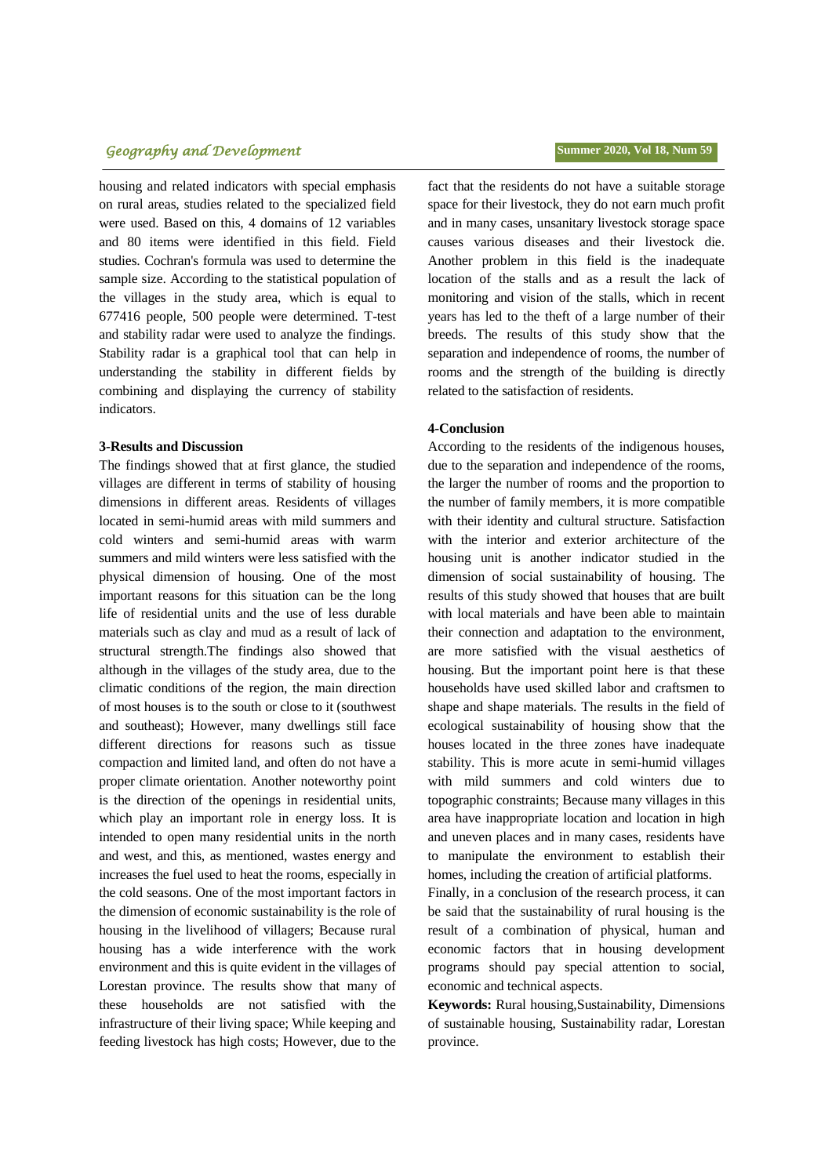### **تابستان ،9911 سال هجدهم، شماره 51 فصلنامه جغرافیا و توسعه** 38 *Geography and Development* **Summer 2020, Vol 18, Num 59**

housing and related indicators with special emphasis on rural areas, studies related to the specialized field were used. Based on this, 4 domains of 12 variables and 80 items were identified in this field. Field studies. Cochran's formula was used to determine the sample size. According to the statistical population of the villages in the study area, which is equal to 677416 people, 500 people were determined. T-test and stability radar were used to analyze the findings. Stability radar is a graphical tool that can help in understanding the stability in different fields by combining and displaying the currency of stability indicators.

#### **3-Results and Discussion**

The findings showed that at first glance, the studied villages are different in terms of stability of housing dimensions in different areas. Residents of villages located in semi-humid areas with mild summers and cold winters and semi-humid areas with warm summers and mild winters were less satisfied with the physical dimension of housing. One of the most important reasons for this situation can be the long life of residential units and the use of less durable materials such as clay and mud as a result of lack of structural strength.The findings also showed that although in the villages of the study area, due to the climatic conditions of the region, the main direction of most houses is to the south or close to it (southwest and southeast); However, many dwellings still face different directions for reasons such as tissue compaction and limited land, and often do not have a proper climate orientation. Another noteworthy point is the direction of the openings in residential units, which play an important role in energy loss. It is intended to open many residential units in the north and west, and this, as mentioned, wastes energy and increases the fuel used to heat the rooms, especially in the cold seasons. One of the most important factors in the dimension of economic sustainability is the role of housing in the livelihood of villagers; Because rural housing has a wide interference with the work environment and this is quite evident in the villages of Lorestan province. The results show that many of these households are not satisfied with the infrastructure of their living space; While keeping and feeding livestock has high costs; However, due to the

fact that the residents do not have a suitable storage space for their livestock, they do not earn much profit and in many cases, unsanitary livestock storage space causes various diseases and their livestock die. Another problem in this field is the inadequate location of the stalls and as a result the lack of monitoring and vision of the stalls, which in recent years has led to the theft of a large number of their breeds. The results of this study show that the separation and independence of rooms, the number of rooms and the strength of the building is directly related to the satisfaction of residents.

#### **4-Conclusion**

According to the residents of the indigenous houses, due to the separation and independence of the rooms, the larger the number of rooms and the proportion to the number of family members, it is more compatible with their identity and cultural structure. Satisfaction with the interior and exterior architecture of the housing unit is another indicator studied in the dimension of social sustainability of housing. The results of this study showed that houses that are built with local materials and have been able to maintain their connection and adaptation to the environment, are more satisfied with the visual aesthetics of housing. But the important point here is that these households have used skilled labor and craftsmen to shape and shape materials. The results in the field of ecological sustainability of housing show that the houses located in the three zones have inadequate stability. This is more acute in semi-humid villages with mild summers and cold winters due to topographic constraints; Because many villages in this area have inappropriate location and location in high and uneven places and in many cases, residents have to manipulate the environment to establish their homes, including the creation of artificial platforms.

Finally, in a conclusion of the research process, it can be said that the sustainability of rural housing is the result of a combination of physical, human and economic factors that in housing development programs should pay special attention to social, economic and technical aspects.

**Keywords:** Rural housing,Sustainability, Dimensions of sustainable housing, Sustainability radar, Lorestan province.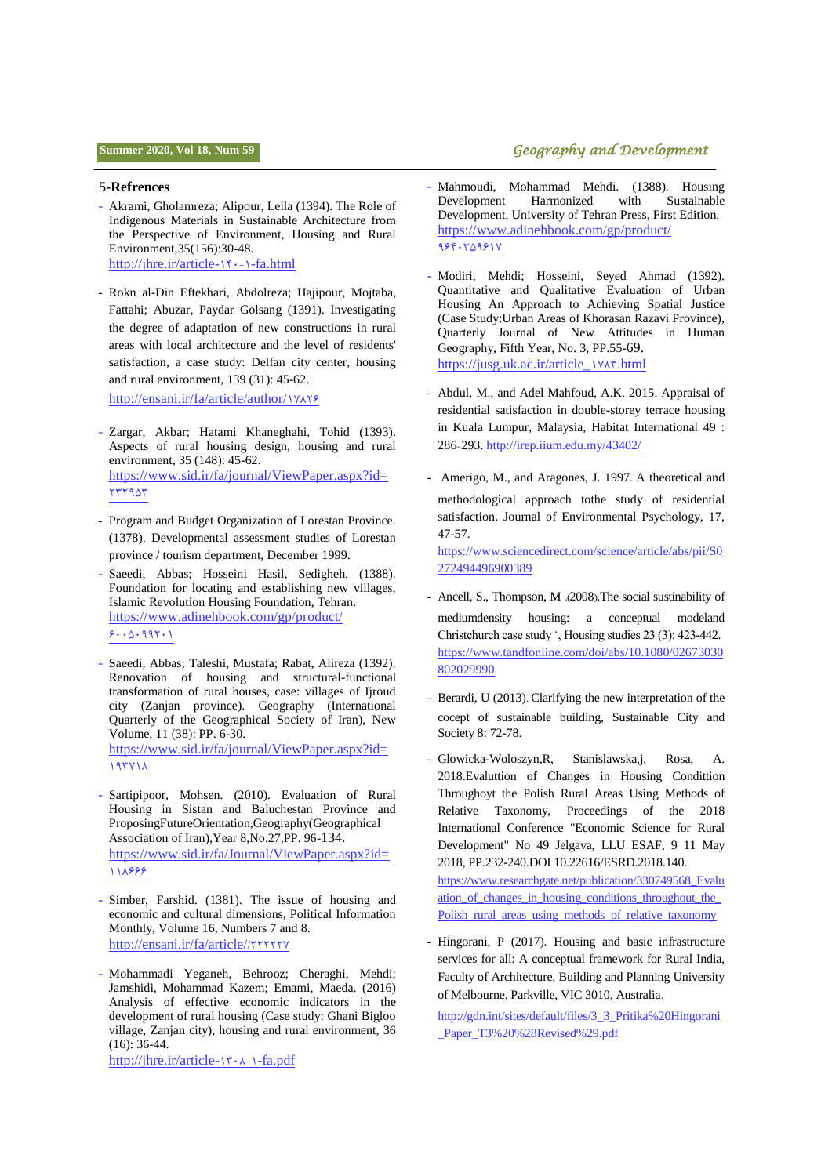### **فصلنامه جغرافیا و توسعه** 38 **تابستان ،9911 سال هجدهم، شماره 51 Summer 2020, Vol 18, Num 59** *Geography and Development*

#### **5-Refrences**

- Akrami, Gholamreza; Alipour, Leila (1394). The Role of Indigenous Materials in Sustainable Architecture from the Perspective of Environment, Housing and Rural Environment,35(156):30-48. [http://jhre.ir/article-](http://jhre.ir/article-1-140-fa.html)16.-1-fa.html
- Rokn al-Din Eftekhari, Abdolreza; Hajipour, Mojtaba, Fattahi; Abuzar, Paydar Golsang (1391). Investigating the degree of adaptation of new constructions in rural areas with local architecture and the level of residents' satisfaction, a case study: Delfan city center, housing and rural environment, 139 (31): 45-62.

[http://ensani.ir/fa/article/author/](http://ensani.ir/fa/article/author/17826)1YAYS

- Zargar, Akbar; Hatami Khaneghahi, Tohid (1393). Aspects of rural housing design, housing and rural environment, 35 (148): 45-62. [https://www.sid.ir/fa/journal/ViewPaper.aspx?id=](https://www.sid.ir/fa/journal/ViewPaper.aspx?id=232953) 7779.07
- Program and Budget Organization of Lorestan Province. (1378). Developmental assessment studies of Lorestan province / tourism department, December 1999.
- Saeedi, Abbas; Hosseini Hasil, Sedigheh. (1388). Foundation for locating and establishing new villages, Islamic Revolution Housing Foundation, Tehran. [https://www.adinehbook.com/gp/product/](https://www.adinehbook.com/gp/product/6005099201)  $9.000111$
- Saeedi, Abbas; Taleshi, Mustafa; Rabat, Alireza (1392). Renovation of housing and structural-functional transformation of rural houses, case: villages of Ijroud city (Zanjan province). Geography (International Quarterly of the Geographical Society of Iran), New Volume, 11 (38): PP. 6-30. [https://www.sid.ir/fa/journal/ViewPaper.aspx?id=](https://www.sid.ir/fa/journal/ViewPaper.aspx?id=193718) 19311
- Sartipipoor, Mohsen. (2010). Evaluation of Rural Housing in Sistan and Baluchestan Province and ProposingFutureOrientation,Geography(Geographical Association of Iran),Year 8,No.27,PP. 96-134. [https://www.sid.ir/fa/Journal/ViewPaper.aspx?id=](https://www.sid.ir/fa/Journal/ViewPaper.aspx?id=118666) [003111](https://www.sid.ir/fa/Journal/ViewPaper.aspx?id=118666)
- Simber, Farshid. (1381). The issue of housing and economic and cultural dimensions, Political Information Monthly, Volume 16, Numbers 7 and 8. [http://ensani.ir/fa/article/](http://ensani.ir/fa/article/222227/)/777772
- Mohammadi Yeganeh, Behrooz; Cheraghi, Mehdi; Jamshidi, Mohammad Kazem; Emami, Maeda. (2016) Analysis of effective economic indicators in the development of rural housing (Case study: Ghani Bigloo village, Zanjan city), housing and rural environment, 36 (16): 36-44.

[http://jhre.ir/article-](http://jhre.ir/article-1-1308-fa.pdf)1۳۰۸-1-fa.pdf

- Mahmoudi, Mohammad Mehdi. (1388). Housing Development Harmonized with Sustainable Development, University of Tehran Press, First Edition. [https://www.adinehbook.com/gp/product/](https://www.adinehbook.com/gp/product/9640359617)  $956.70991V$
- Modiri, Mehdi; Hosseini, Seyed Ahmad (1392). Quantitative and Qualitative Evaluation of Urban Housing An Approach to Achieving Spatial Justice (Case Study:Urban Areas of Khorasan Razavi Province), Quarterly Journal of New Attitudes in Human Geography, Fifth Year, No. 3, PP.55-69. [https://jusg.uk.ac.ir/article\\_](https://jusg.uk.ac.ir/article_1783.html)0238.html
- Abdul, M., and Adel Mahfoud, A.K. 2015. Appraisal of residential satisfaction in double-storey terrace housing in Kuala Lumpur, Malaysia, Habitat International 49 : 286-293[. http://irep.iium.edu.my/43402/](http://irep.iium.edu.my/43402/)
- Amerigo, M., and Aragones, J. 1997. A theoretical and methodological approach tothe study of residential satisfaction. Journal of Environmental Psychology, 17, 47-57. [https://www.sciencedirect.com/science/article/abs/pii/S0](https://www.sciencedirect.com/science/article/abs/pii/S0272494496900389)

[272494496900389](https://www.sciencedirect.com/science/article/abs/pii/S0272494496900389)

- Ancell, S., Thompson, M .(2008). The social sustinability of mediumdensity housing: a conceptual modeland Christchurch case study ', Housing studies 23 (3): 423-442. [https://www.tandfonline.com/doi/abs/10.1080/02673030](https://www.tandfonline.com/doi/abs/10.1080/02673030802029990) [802029990](https://www.tandfonline.com/doi/abs/10.1080/02673030802029990)
- Berardi, U (2013). Clarifying the new interpretation of the cocept of sustainable building, Sustainable City and Society 8: 72-78.
- Glowicka-Woloszyn,R, Stanislawska,j, Rosa, A. 2018.Evaluttion of Changes in Housing Condittion Throughoyt the Polish Rural Areas Using Methods of Relative Taxonomy, Proceedings of the 2018 International Conference "Economic Science for Rural Development" No 49 Jelgava, LLU ESAF, 9 11 May 2018, PP.232-240.DOI 10.22616/ESRD.2018.140. [https://www.researchgate.net/publication/330749568\\_Evalu](https://www.researchgate.net/publication/330749568_Evaluation_of_changes_in_housing_conditions_throughout_the_Polish_rural_areas_using_methods_of_relative_taxonomy) ation of changes in housing conditions throughout the [Polish\\_rural\\_areas\\_using\\_methods\\_of\\_relative\\_taxonomy](https://www.researchgate.net/publication/330749568_Evaluation_of_changes_in_housing_conditions_throughout_the_Polish_rural_areas_using_methods_of_relative_taxonomy)
- Hingorani, P (2017). Housing and basic infrastructure services for all: A conceptual framework for Rural India, Faculty of Architecture, Building and Planning University of Melbourne, Parkville, VIC 3010, Australia.

[http://gdn.int/sites/default/files/3\\_3\\_Pritika%20Hingorani](http://gdn.int/sites/default/files/3_3_Pritika%20Hingorani_Paper_T3%20%28Revised%29.pdf) Paper\_T3%20%28Revised%29.pdf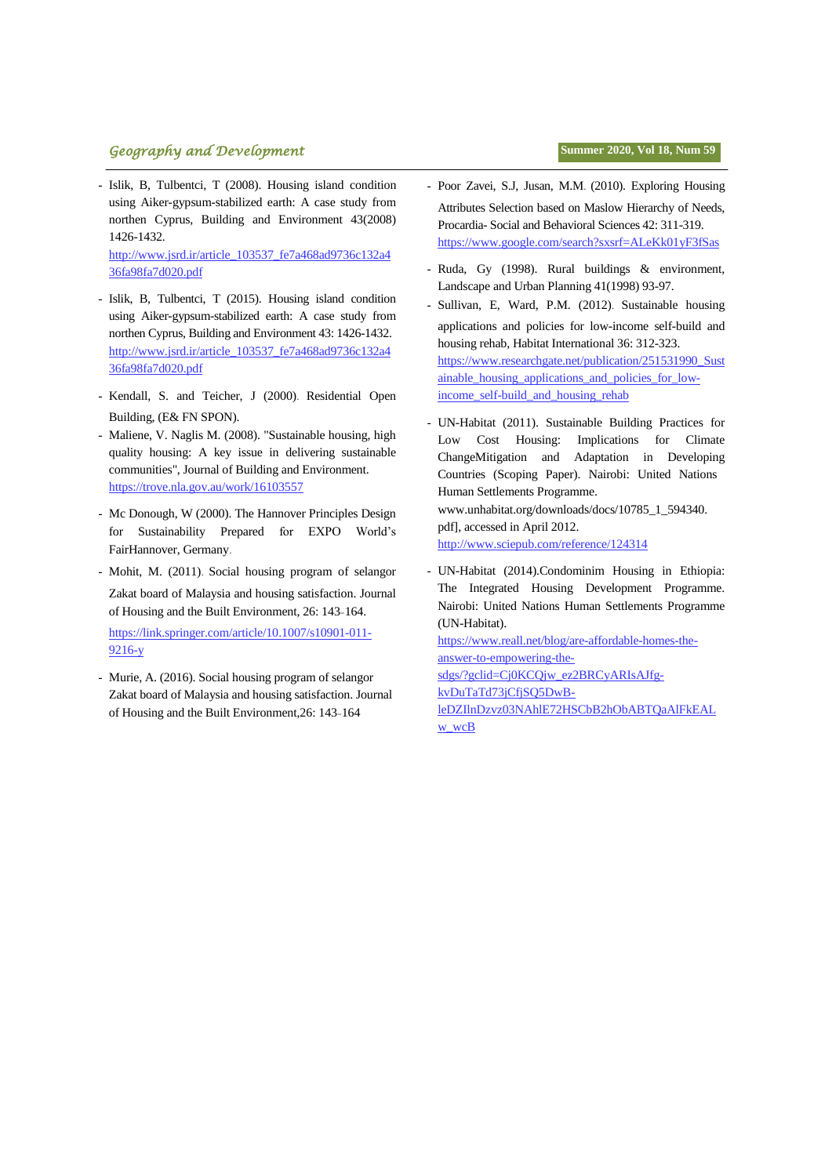## **تابستان ،9911 سال هجدهم، شماره 51 فصلنامه جغرافیا و توسعه** 31 *Geography and Development* **Summer 2020, Vol 18, Num 59**

- Islik, B, Tulbentci, T (2008). Housing island condition using Aiker-gypsum-stabilized earth: A case study from northen Cyprus, Building and Environment 43(2008) 1426-1432.

[http://www.jsrd.ir/article\\_103537\\_fe7a468ad9736c132a4](http://www.jsrd.ir/article_103537_fe7a468ad9736c132a436fa98fa7d020.pdf) [36fa98fa7d020.pdf](http://www.jsrd.ir/article_103537_fe7a468ad9736c132a436fa98fa7d020.pdf)

- Islik, B, Tulbentci, T (2015). Housing island condition using Aiker-gypsum-stabilized earth: A case study from northen Cyprus, Building and Environment 43: 1426-1432. [http://www.jsrd.ir/article\\_103537\\_fe7a468ad9736c132a4](http://www.jsrd.ir/article_103537_fe7a468ad9736c132a436fa98fa7d020.pdf) [36fa98fa7d020.pdf](http://www.jsrd.ir/article_103537_fe7a468ad9736c132a436fa98fa7d020.pdf)
- Kendall, S. and Teicher, J (2000). Residential Open Building, (E& FN SPON).
- Maliene, V. Naglis M. (2008). "Sustainable housing, high quality housing: A key issue in delivering sustainable communities", Journal of Building and Environment. <https://trove.nla.gov.au/work/16103557>
- Mc Donough, W (2000). The Hannover Principles Design for Sustainability Prepared for EXPO World's FairHannover, Germany.
- Mohit, M. (2011). Social housing program of selangor Zakat board of Malaysia and housing satisfaction. Journal of Housing and the Built Environment, 26: 143-164. [https://link.springer.com/article/10.1007/s10901-011-](https://link.springer.com/article/10.1007/s10901-011-9216-y) [9216-y](https://link.springer.com/article/10.1007/s10901-011-9216-y)
- Murie, A. (2016). Social housing program of selangor Zakat board of Malaysia and housing satisfaction. Journal of Housing and the Built Environment,26: 143-164
- 
- Poor Zavei, S.J, Jusan, M.M. (2010). Exploring Housing Attributes Selection based on Maslow Hierarchy of Needs, Procardia- Social and Behavioral Sciences 42: 311-319. <https://www.google.com/search?sxsrf=ALeKk01yF3fSas>
- Ruda, Gy (1998). Rural buildings & environment, Landscape and Urban Planning 41(1998) 93-97.
- Sullivan, E, Ward, P.M. (2012). Sustainable housing applications and policies for low-income self-build and housing rehab, Habitat International 36: 312-323. [https://www.researchgate.net/publication/251531990\\_Sust](https://www.researchgate.net/publication/251531990_Sustainable_housing_applications_and_policies_for_low-income_self-build_and_housing_rehab) [ainable\\_housing\\_applications\\_and\\_policies\\_for\\_low](https://www.researchgate.net/publication/251531990_Sustainable_housing_applications_and_policies_for_low-income_self-build_and_housing_rehab)[income\\_self-build\\_and\\_housing\\_rehab](https://www.researchgate.net/publication/251531990_Sustainable_housing_applications_and_policies_for_low-income_self-build_and_housing_rehab)
- UN-Habitat (2011). Sustainable Building Practices for Low Cost Housing: Implications for Climate ChangeMitigation and Adaptation in Developing Countries (Scoping Paper). Nairobi: United Nations Human Settlements Programme. www.unhabitat.org/downloads/docs/10785\_1\_594340. pdf], accessed in April 2012. <http://www.sciepub.com/reference/124314>
- UN-Habitat (2014).Condominim Housing in Ethiopia: The Integrated Housing Development Programme. Nairobi: United Nations Human Settlements Programme (UN-Habitat).

[https://www.reall.net/blog/are-affordable-homes-the](https://www.reall.net/blog/are-affordable-homes-the-answer-to-empowering-the-sdgs/?gclid=Cj0KCQjw_ez2BRCyARIsAJfg-kvDuTaTd73jCfjSQ5DwB-leDZIlnDzvz03NAhlE72HSCbB2hObABTQaAlFkEALw_wcB)[answer-to-empowering-the](https://www.reall.net/blog/are-affordable-homes-the-answer-to-empowering-the-sdgs/?gclid=Cj0KCQjw_ez2BRCyARIsAJfg-kvDuTaTd73jCfjSQ5DwB-leDZIlnDzvz03NAhlE72HSCbB2hObABTQaAlFkEALw_wcB)[sdgs/?gclid=Cj0KCQjw\\_ez2BRCyARIsAJfg](https://www.reall.net/blog/are-affordable-homes-the-answer-to-empowering-the-sdgs/?gclid=Cj0KCQjw_ez2BRCyARIsAJfg-kvDuTaTd73jCfjSQ5DwB-leDZIlnDzvz03NAhlE72HSCbB2hObABTQaAlFkEALw_wcB)[kvDuTaTd73jCfjSQ5DwB](https://www.reall.net/blog/are-affordable-homes-the-answer-to-empowering-the-sdgs/?gclid=Cj0KCQjw_ez2BRCyARIsAJfg-kvDuTaTd73jCfjSQ5DwB-leDZIlnDzvz03NAhlE72HSCbB2hObABTQaAlFkEALw_wcB)[leDZIlnDzvz03NAhlE72HSCbB2hObABTQaAlFkEAL](https://www.reall.net/blog/are-affordable-homes-the-answer-to-empowering-the-sdgs/?gclid=Cj0KCQjw_ez2BRCyARIsAJfg-kvDuTaTd73jCfjSQ5DwB-leDZIlnDzvz03NAhlE72HSCbB2hObABTQaAlFkEALw_wcB)

[w\\_wcB](https://www.reall.net/blog/are-affordable-homes-the-answer-to-empowering-the-sdgs/?gclid=Cj0KCQjw_ez2BRCyARIsAJfg-kvDuTaTd73jCfjSQ5DwB-leDZIlnDzvz03NAhlE72HSCbB2hObABTQaAlFkEALw_wcB)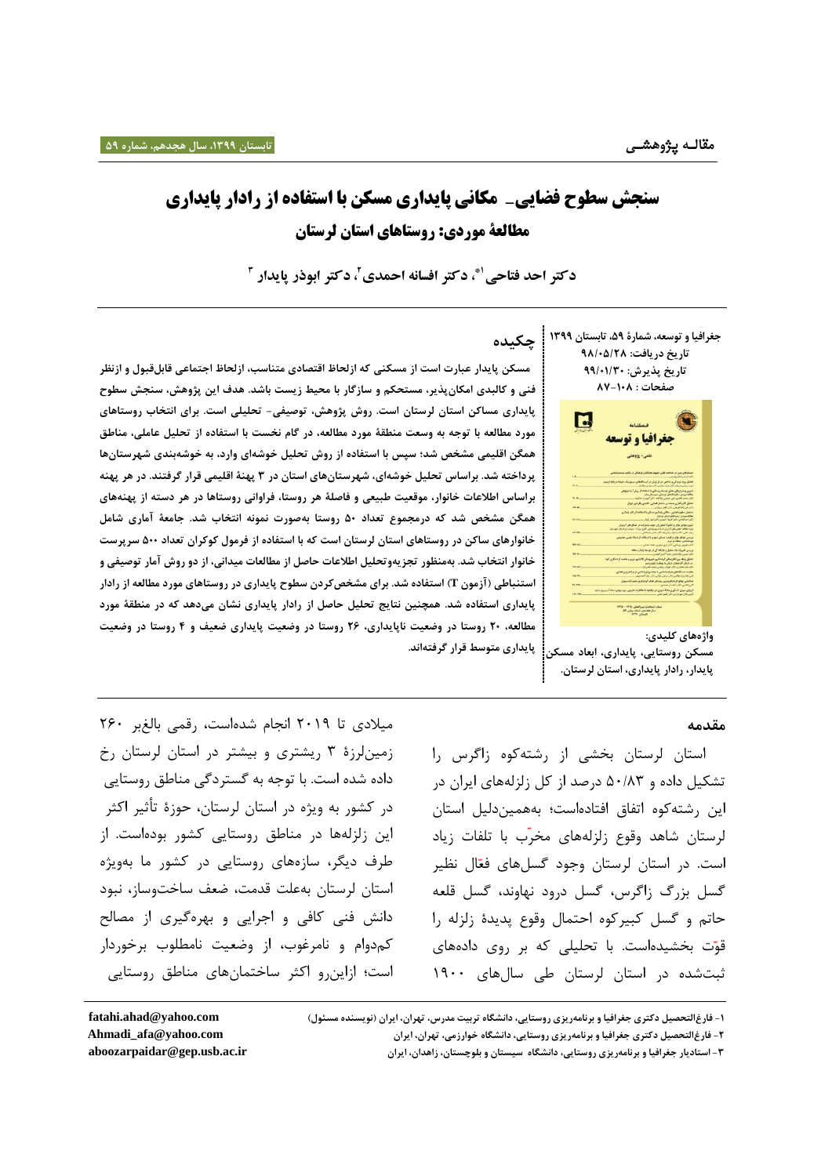# **سنجش سطوح فضایی- مکانی پایداری مسکن با استفاده از رادار پایداری مطالعۀ موردی: روستاهای استان لرستان**

**، دکتر افسانه احمدی 1\* دکتر احد فتاحی 2 3 ، دکتر ابوذر پایدار** 

**جغرافیا و توسعه، شمارۀ ،95 تابستان 9955 تاریخ دریافت: 52/09/82 تاریخ پذیرش: 55/09/90 صفحات : 28-902**



**واژههای کلیدی: مسکن روستایی، پایداری، ابعاد مسکن پایداری متوسط قرار گرفتهاند. پایدار، رادار پایداری، استان لرستان.**

#### **مقدمه**

استان لرستان بخشی از رشتهکوه زاگرس را تشکیل داده و 81/38 درصد از کل زلزلههای ایران در این رشتهکوه اتفاق افتادهاست؛ بههمیندلیل استان لرستان شاهد وقوع زلزله های مخر ب با تلفات زیاد است. در استان لرستان وجود گسل های فعّال نظیر گسل بزرگ زاگرس، گسل درود نهاوند، گسل قلعه حاتم و گسل کبیرکوه احتمال وقوع پدیدۀ زلزله را قوّت بخشیدهاست. با تحلیلی که بر روی دادههای ثبتشده در استان لرستان طی سالهای 0211

**چکیده**

 **مسکن پایدار عبارت است از مسکنی که ازلحاظ اقتصادی متناسب، ازلحاظ اجتماعی قابلقبول و ازنظر فنی و کالبدی امکانپذیر، مستحکم و سازگار با محیط زیست باشد. هدف این پژوهش، سنجش سطوح پایداری مساکن استان لرستان است. روش پژوهش، توصیفی- تحلیلی است. برای انتخاب روستاهای مورد مطالعه با توجه به وسعت منطقۀ مورد مطالعه، در گام نخست با استفاده از تحلیل عاملی، مناطق همگن اقلیمی مشخص شد؛ سپس با استفاده از روش تحلیل خوشهای وارد، به خوشهبندی شهرستانها پرداخته شد. براساس تحلیل خوشهای، شهرستانهای استان در 9 پهنۀ اقلیمی قرار گرفتند. در هر پهنه براساس اطالعات خانوار، موقعیت طبیعی و فاصلۀ هر روستا، فراوانی روستاها در هر دسته از پهنههای همگن مشخص شد که درمجموع تعداد 90 روستا بهصورت نمونه انتخاب شد. جامعۀ آماری شامل خانوارهای ساکن در روستاهای استان لرستان است که با استفاده از فرمول کوکران تعداد 900 سرپرست خانوار انتخاب شد. بهمنظور تجزیهوتحلیل اطالعات حاصل از مطالعات میدانی، از دو روش آمار توصیفی و استنباطی )آزمون T )استفاده شد. برای مشخصکردن سطوح پایداری در روستاهای مورد مطالعه از رادار پایداری استفاده شد. همچنین نتایج تحلیل حاصل از رادار پایداری نشان میدهد که در منطقۀ مورد مطالعه، 80 روستا در وضعیت ناپایداری، 82 روستا در وضعیت پایداری ضعیف و 4 روستا در وضعیت** 

میالدی تا 7102 انجام شدهاست، رقمی بالغبر 711 زمینلرزۀ 8 ریشتری و بیشتر در استان لرستان رخ داده شده است. با توجه به گستردگی مناطق روستایی در کشور به ویژه در استان لرستان، حوزۀ تأثیر اکثر این زلزلهها در مناطق روستایی کشور بودهاست. از طرف دیگر، سازههای روستایی در کشور ما بهویژه استان لرستان بهعلت قدمت، ضعف ساختوساز، نبود دانش فنی کافی و اجرایی و بهرهگیری از مصالح کمدوام و نامرغوب، از وضعیت نامطلوب برخوردار است؛ ازاینرو اکثر ساختمانهای مناطق روستایی

**-9 فارغالتحصیل دکتری جغرافیا و برنامهریزی روستایی، دانشگاه تربیت مدرس، تهران، ایران )نویسنده مسئول[\(](mailto:fatahi.ahad@yshoo.com) [com.yahoo@ahad.fatahi](mailto:fatahi.ahad@yshoo.com)**

**-9 استادیار جغرافیا و برنامهریزی روستایی، دانشگاه سیستان و بلوچستان، زاهدان، ایران ir.ac.usb.gep@aboozarpaidar**

**-8 فارغالتحصیل دکتری جغرافیا و برنامهریزی روستایی، دانشگاه خوارزمی، تهران، ایران com.yahoo@afa\_Ahmadi**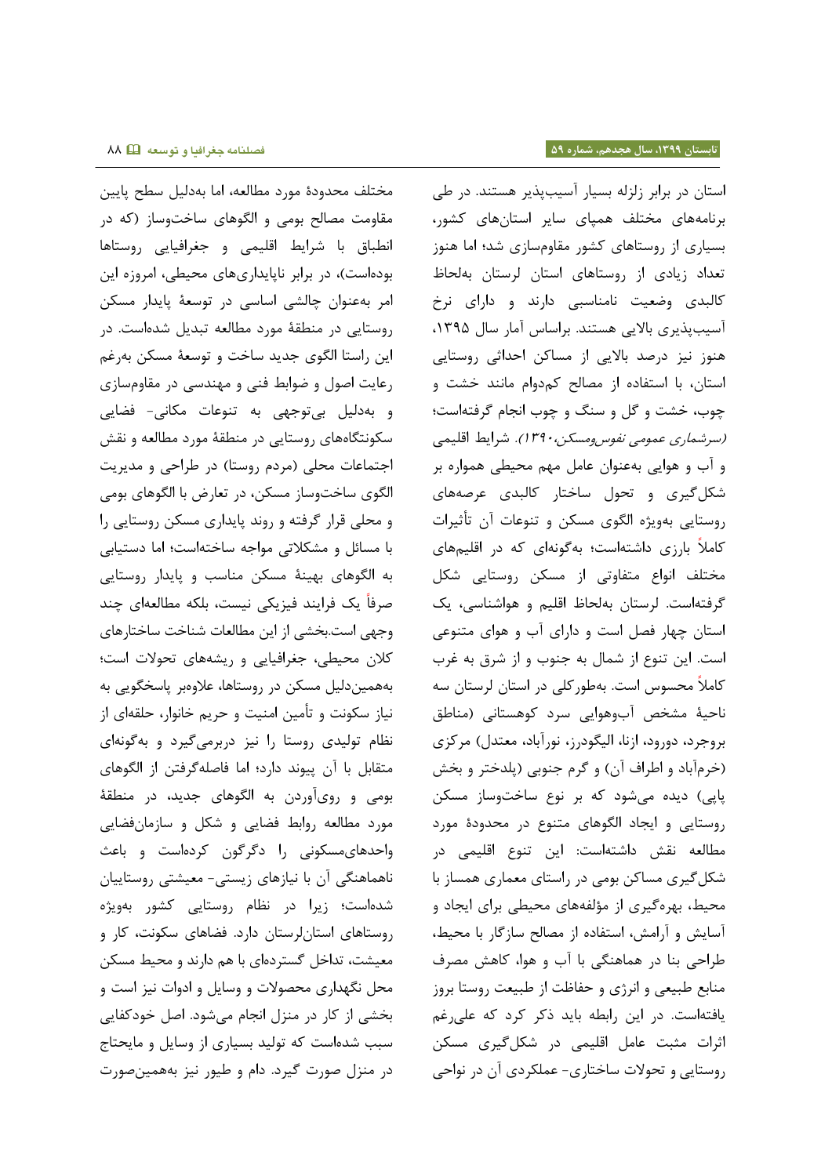مختلف محدودۀ مورد مطالعه، اما بهدلیل سطح پایین مقاومت مصالح بومی و الگوهای ساختوساز )که در انطباق با شرایط اقلیمی و جغرافیایی روستاها بودهاست)، در برابر ناپایداریهای محیطی، امروزه این امر بهعنوان چالشی اساسی در توسعۀ پایدار مسکن روستایی در منطقۀ مورد مطالعه تبدیل شدهاست. در این راستا الگوی جدید ساخت و توسعۀ مسکن بهرغم رعایت اصول و ضوابط فنی و مهندسی در مقاومسازی و بهدلیل بیتوجهی به تنوعات مکانی- فضایی سکونتگاههای روستایی در منطقۀ مورد مطالعه و نقش اجتماعات محلی (مردم روستا) در طراحی و مدیریت الگوی ساختوساز مسکن، در تعارض با الگوهای بومی و محلی قرار گرفته و روند پایداری مسکن روستایی را با مسائل و مشکالتی مواجه ساختهاست؛ اما دستیابی به الگوهای بهینۀ مسکن مناسب و پایدار روستایی صرفا یک فرایند فیزیکی نیست، بلکه مطالعهای چند وجهی است.بخشی از این مطالعات شناخت ساختارهای کالن محیطی، جغرافیایی و ریشههای تحوالت است؛ بههمیندلیل مسکن در روستاها، عالوهبر پاسخگویی به نیاز سکونت و تأمین امنیت و حریم خانوار، حلقهای از نظام تولیدی روستا را نیز دربرمیگیرد و بهگونهای متقابل با آن پیوند دارد؛ اما فاصلهگرفتن از الگوهای بومی و رویآوردن به الگوهای جدید، در منطقۀ مورد مطالعه روابط فضایی و شکل و سازمانفضایی واحدهایمسکونی را دگرگون کردهاست و باعث ناهماهنگی آن با نیازهای زیستی- معیشتی روستاییان شدهاست؛ زیرا در نظام روستایی کشور بهویژه روستاهای استانلرستان دارد. فضاهای سکونت، کار و معیشت، تداخل گستردهای با هم دارند و محیط مسکن محل نگهداری محصوالت و وسایل و ادوات نیز است و بخشی از کار در منزل انجام میشود. اصل خودکفایی سبب شدهاست که تولید بسیاری از وسایل و مایحتاج در منزل صورت گیرد. دام و طیور نیز بههمینصورت

استان در برابر زلزله بسیار آسیبپذیر هستند. در طی برنامههای مختلف همپای سایر استانهای کشور، بسیاری از روستاهای کشور مقاومسازی شد؛ اما هنوز تعداد زیادی از روستاهای استان لرستان بهلحاظ کالبدی وضعیت نامناسبی دارند و دارای نرخ آسیبپذیری بالایی هستند. براساس آمار سال ۱۳۹۵، هنوز نیز درصد باالیی از مساکن احداثی روستایی استان، با استفاده از مصالح کمدوام مانند خشت و چوب، خشت و گل و سنگ و چوب انجام گرفتهاست؛ (سرشم*اری عمومی نفوس ومسکن،۱۳۹۰).* شرایط اقلیمی و آب و هوایی بهعنوان عامل مهم محیطی همواره بر شکلگیری و تحول ساختار کالبدی عرصههای روستایی بهویژه الگوی مسکن و تنوعات آن تأثیرات کامال بارزی داشتهاست؛ بهگونهای که در اقلیمهای مختلف انواع متفاوتی از مسکن روستایی شکل گرفتهاست. لرستان بهلحاظ اقلیم و هواشناسی، یک استان چهار فصل است و دارای آب و هوای متنوعی است. این تنوع از شمال به جنوب و از شرق به غرب کامال محسوس است. بهطورکلی در استان لرستان سه ناحیۀ مشخص آبوهوایی سرد کوهستانی )مناطق [بروجرد،](http://fa.wikipedia.org/wiki/%D8%A8%D8%B1%D9%88%D8%AC%D8%B1%D8%AF) [دورود،](http://fa.wikipedia.org/wiki/%D8%AF%D9%88%D8%B1%D9%88%D8%AF) [ازنا،](http://fa.wikipedia.org/wiki/%D8%A7%D8%B2%D9%86%D8%A7) [الیگودرز،](http://fa.wikipedia.org/wiki/%D8%A7%D9%84%DB%8C%DA%AF%D9%88%D8%AF%D8%B1%D8%B2) [نورآباد،](http://fa.wikipedia.org/wiki/%D9%86%D9%88%D8%B1%D8%A2%D8%A8%D8%A7%D8%AF) معتدل( مرکزی (خرمآباد و اطراف آن) و گرم جنوبی (پلدختر و بخش پاپی) دیده میشود که بر نوع ساختوساز مسکن روستایی و ایجاد الگوهای متنوع در محدودۀ مورد مطالعه نقش داشتهاست: این تنوع اقلیمی در شکلگیری مساکن بومی در راستای معماری همساز با محیط، بهرهگیری از مؤلفههای محیطی برای ایجاد و آسایش و آرامش، استفاده از مصالح سازگار با محیط، طراحی بنا در هماهنگی با آب و هوا، کاهش مصرف منابع طبیعی و انرژی و حفاظت از طبیعت روستا بروز یافتهاست. در این رابطه باید ذکر کرد که علیرغم اثرات مثبت عامل اقلیمی در شکلگیری مسکن روستایی و تحوالت ساختاری- عملکردی آن در نواحی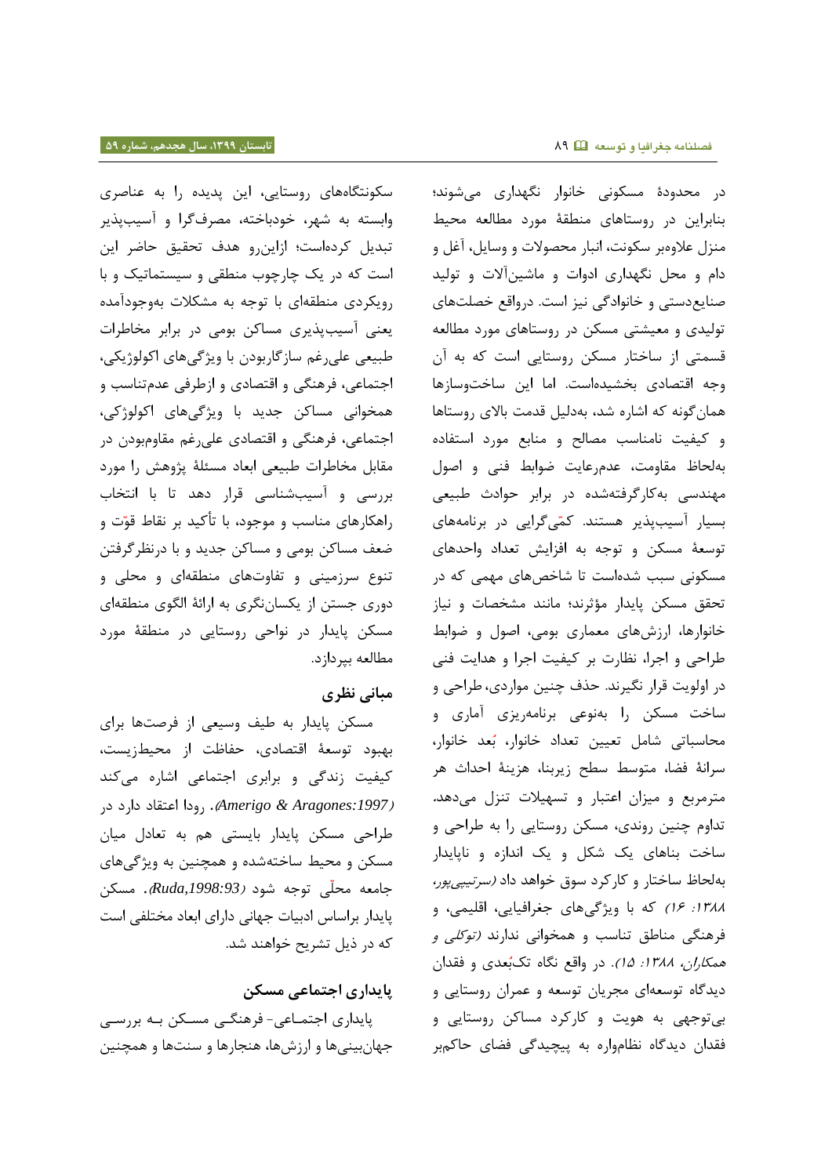سکونتگاههای روستایی، این پدیده را به عناصری وابسته به شهر، خودباخته، مصرفگرا و آسیبپذیر تبدیل کردهاست؛ ازاینرو هدف تحقیق حاضر این است که در یک چارچوب منطقی و سیستماتیک و با رویکردی منطقهای با توجه به مشکالت بهوجودآمده یعنی آسیبپذیری مساکن بومی در برابر مخاطرات طبیعی علیرغم سازگاربودن با ویژگیهای اکولوژیکی، اجتماعی، فرهنگی و اقتصادی و ازطرفی عدمتناسب و همخوانی مساکن جدید با ویژگیهای اکولوژکی، اجتماعی، فرهنگی و اقتصادی علیرغم مقاومبودن در مقابل مخاطرات طبیعی ابعاد مسئلۀ پژوهش را مورد بررسی و آسیبشناسی قرار دهد تا با انتخاب راهکارهای مناسب و موجود، با تأکید بر نقاط قو ت و ضعف مساکن بومی و مساکن جدید و با درنظرگرفتن تنوع سرزمینی و تفاوتهای منطقهای و محلی و دوری جستن از یکساننگری به ارائۀ الگوی منطقهای مسکن پایدار در نواحی روستایی در منطقۀ مورد مطالعه بپردازد.

## **مبانی نظری**

مسکن پایدار به طیف وسیعی از فرصتها برای بهبود توسعۀ اقتصادی، حفاظت از محیطزیست، کیفیت زندگی و برابری اجتماعی اشاره میکند **)***:1997Aragones & Amerigo***).** رودا اعتقاد دارد در طراحی مسکن پایدار بایستی هم به تعادل میان مسکن و محیط ساختهشده و همچنین به ویژگیهای جامعه محلّ<sub>ی</sub> توجه شود *(Ruda,1998:93).* مسکن پایدار براساس ادبیات جهانی دارای ابعاد مختلفی است که در ذیل تشریح خواهند شد.

# **پایداری اجتماعی مسکن**

پایداری اجتمـاعی- فرهنگـی مسـکن بـه بررسـی جهان بینی ها و ارزش ها، هنجارها و سنت ها و همچنین

در محدودۀ مسکونی خانوار نگهداری میشوند؛ بنابراین در روستاهای منطقۀ مورد مطالعه محیط منزل عالوهبر سکونت، انبار محصوالت و وسایل، آغل و دام و محل نگهداری ادوات و ماشینآالت و تولید صنایعدستی و خانوادگی نیز است. درواقع خصلتهای تولیدی و معیشتی مسکن در روستاهای مورد مطالعه قسمتی از ساختار مسکن روستایی است که به آن وجه اقتصادی بخشیدهاست. اما این ساختوسازها همانگونه که اشاره شد، بهدلیل قدمت باالی روستاها و کیفیت نامناسب مصالح و منابع مورد استفاده بهلحاظ مقاومت، عدمرعایت ضوابط فنی و اصول مهندسی بهکارگرفتهشده در برابر حوادث طبیعی بسیار آسیبپذیر هستند. کم یگرایی در برنامههای توسعۀ مسکن و توجه به افزایش تعداد واحدهای مسکونی سبب شدهاست تا شاخصهای مهمی که در تحقق مسکن پایدار مؤثرند؛ مانند مشخصات و نیاز خانوارها، ارزشهای معماری بومی، اصول و ضوابط طراحی و اجرا، نظارت بر کیفیت اجرا و هدایت فنی در اولویت قرار نگیرند. حذف چنین مواردی، طراحی و ساخت مسکن را بهنوعی برنامهریزی آماری و محاسباتی شامل تعیین تعداد خانوار، ب عد خانوار، سرانۀ فضا، متوسط سطح زیربنا، هزینۀ احداث هر مترمربع و میزان اعتبار و تسهیالت تنزل میدهد**.** تداوم چنین روندی، مسکن روستایی را به طراحی و ساخت بناهای یک شکل و یک اندازه و ناپایدار بهلحاظ ساختار و کارکرد سوق خواهد داد *(سرتیپی پور*، :0833 01( که با ویژگیهای جغرافیایی، اقلیمی، و فرهنگی مناطق تناسب و همخوانی ندارند )توکلی و همکاران، ١٣٨٨: 10). در واقع نگاه تک بُعدی و فقدان دیدگاه توسعهای مجریان توسعه و عمران روستایی و بیتوجهی به هویت و کارکرد مساکن روستایی و فقدان دیدگاه نظامواره به پیچیدگی فضای حاکمبر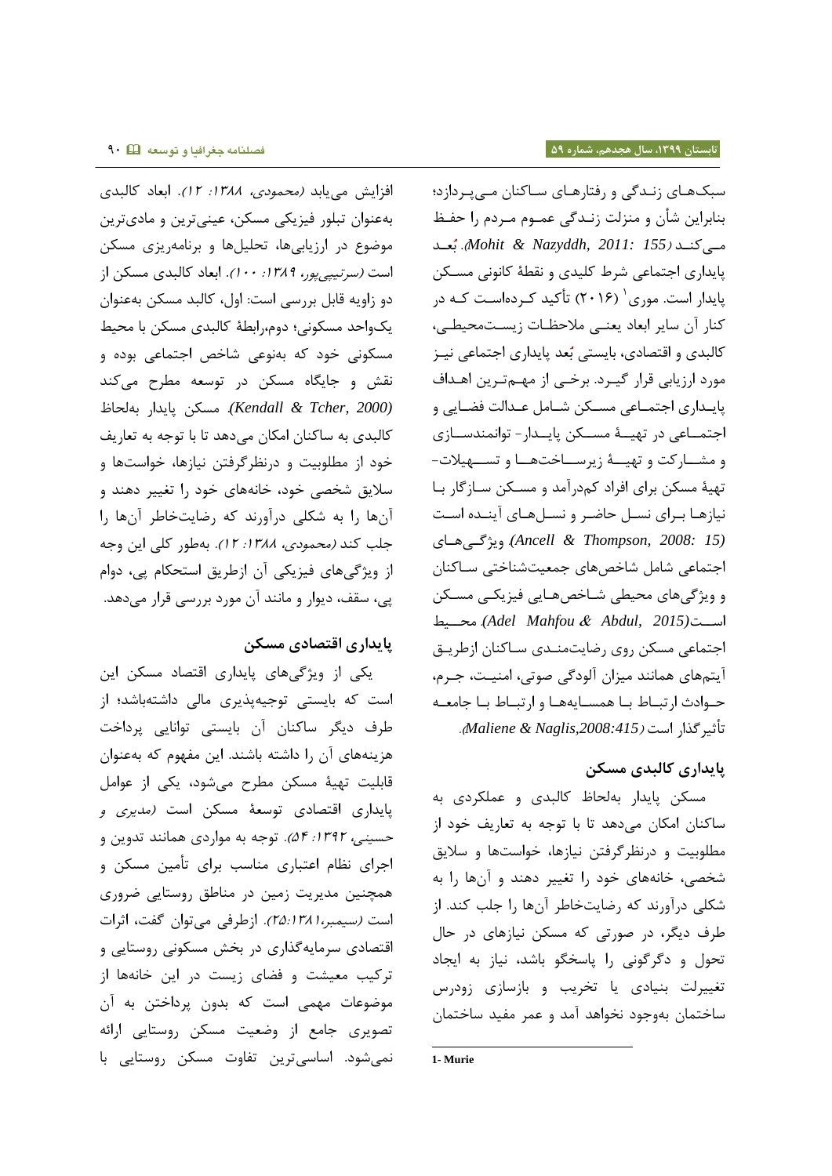افزایش می یابد *(محمودی، ۱۳۸۸: ۱۲)*. ابعاد کالبدی بهعنوان تبلور فیزیکی مسکن، عینیترین و مادیترین موضوع در ارزیابیها، تحلیلها و برنامهریزی مسکن است *(سرتیپی پور، ١٣٨٩: ١٠٠)*. ابعاد كالبدی مسكن از دو زاویه قابل بررسی است: اول، کالبد مسکن بهعنوان یکواحد مسکونی؛ دوم،رابطۀ کالبدی مسکن با محیط مسکونی خود که بهنوعی شاخص اجتماعی بوده و نقش و جایگاه مسکن در توسعه مطرح میکند *(2000 ,Tcher & Kendall(*. مسکن پایدار بهلحاظ کالبدی به ساکنان امکان میدهد تا با توجه به تعاریف خود از مطلوبیت و درنظرگرفتن نیازها، خواستها و سالیق شخصی خود، خانههای خود را تغییر دهند و آنها را به شکلی درآورند که رضایتخاطر آنها را جلب کند *(محمودی، ١٣٨٨: ١٢).* بهطور کلی این وجه از ویژگیهای فیزیکی آن ازطریق استحکام پی، دوام پی، سقف، دیوار و مانند آن مورد بررسی قرار میدهد.

## **پایداری اقتصادی مسکن**

یکی از ویژگیهای پایداری اقتصاد مسکن این است که بایستی توجیهپذیری مالی داشتهباشد؛ از طرف دیگر ساکنان آن بایستی توانایی پرداخت هزینههای آن را داشته باشند. این مفهوم که بهعنوان قابلیت تهیۀ مسکن مطرح میشود، یکی از عوامل پایداری اقتصادی توسعۀ مسکن است *(مدیری و* حسینی، ١٣٩٢: ٥۴). توجه به مواردی همانند تدوین و اجرای نظام اعتباری مناسب برای تأمین مسکن و همچنین مدیریت زمین در مناطق روستایی ضروری است )سیمبر78:0830،(. ازطرفی میتوان گفت، اثرات اقتصادی سرمایهگذاری در بخش مسکونی روستایی و ترکیب معیشت و فضای زیست در این خانهها از موضوعات مهمی است که بدون پرداختن به آن تصویری جامع از وضعیت مسکن روستایی ارائه نمیشود. اساسیترین تفاوت مسکن روستایی با

سبک های زندگی و رفتارهای ساکنان مے پردازد؛ بنابراین شأن و منزلت زنـدگی عمـوم مـردم را حفـظ مای کناد )*155 2011: ,Nazyddh & Mohit*). ب عاد پایداری اجتماعی شرط کلیدی و نقطۀ کانونی مساکن پایدار است. موری<sup>۰</sup> (۲۰۱۶) تأکید کـردهاسـت کـه در کنار آن سایر ابعاد یعنـی ملاحظـات زیسـتمحیطـی، کالبدی و اقتصادی، بایستی بُعد پایداری اجتماعی نیـز مورد ارزیابی قرار گیـرد. برخـی از مهـمتـرین اهـداف پایـداری اجتمـاعی مسـكن شـامل عـدالت فضـایی و اجتمــاعی در تهیــهٔ مســکن پایــدار- توانمندســازی و مشـارکت و تهیــهٔ زیرســاختهــا و تســهیلات-تهیهٔ مسکن برای افراد کمدرآمد و مسکن سـازگار بـا نیازها بـرای نسـل حاضـر و نسـلهـای آینـده اسـت *(15 2008: ,Thompson & Ancell(*. ویژگای هااای اجتماعی شامل شاخصهای جمعیتشناختی ساکنان و ویژگی های محیطی شـاخص هـایی فیزیکـی مسـکن محاایط .*)Adel Mahfou* & *Abdul, 2015)*اساات اجتماعی مسکن روی رضایت منادی سااکنان از طریاق آیتمهای همانند میزان آلودگی صوتی، امنیت، جـرم، حـوادث ارتبـاط بـا همسـایههـا و ارتبـاط بـا جامعـه تأثیر گذار است )*,2008:415Naglis & Maliene*) .

## **پایداری کالبدی مسکن**

مسکن پایدار بهلحاظ کالبدی و عملکردی به ساکنان امکان میدهد تا با توجه به تعاریف خود از مطلوبیت و درنظرگرفتن نیازها، خواستها و سالیق شخصی، خانههای خود را تغییر دهند و آنها را به شکلی درآورند که رضایتخاطر آنها را جلب کند. از طرف دیگر، در صورتی که مسکن نیازهای در حال تحول و دگرگونی را پاسخگو باشد، نیاز به ایجاد تغییرلت بنیادی یا تخریب و بازسازی زودرس ساختمان بهوجود نخواهد آمد و عمر مفید ساختمان

<sup>-</sup>**1- Murie**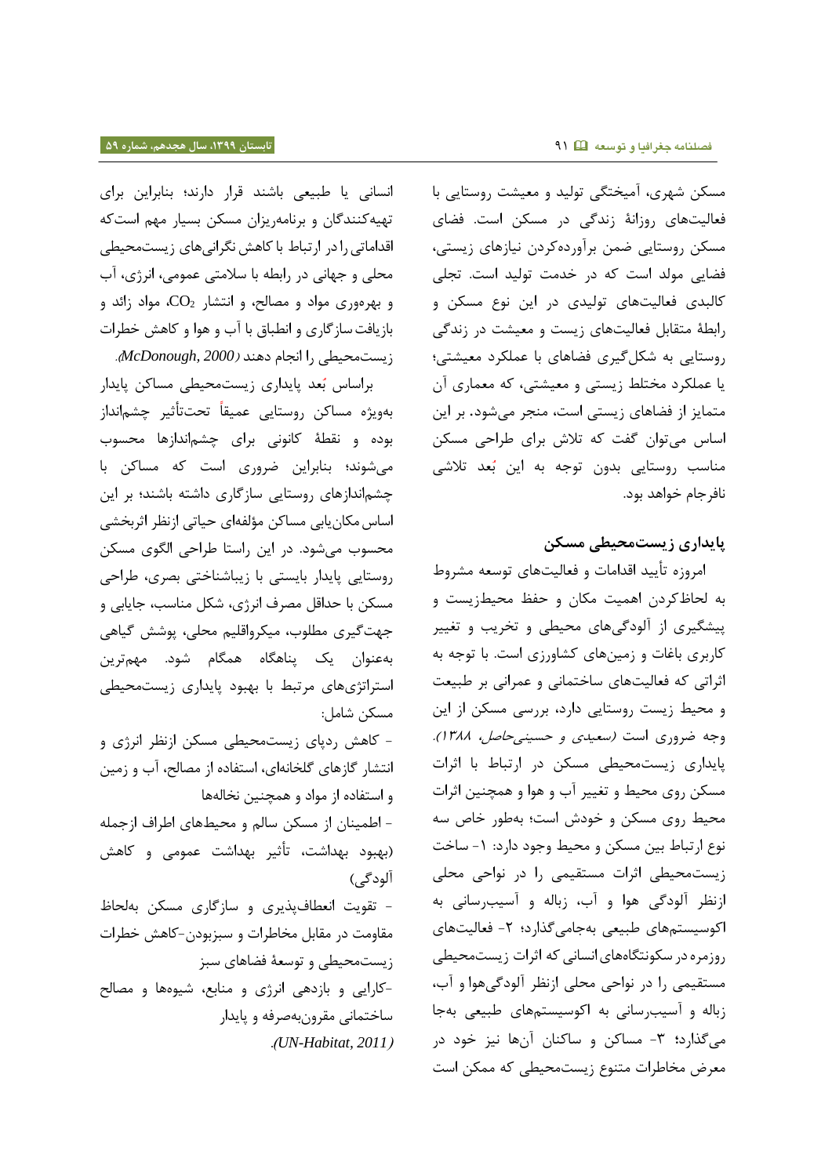مسکن شهری، آمیختگی تولید و معیشت روستایی با فعالیتهای روزانۀ زندگی در مسکن است. فضای مسکن روستایی ضمن برآوردهکردن نیازهای زیستی، فضایی مولد است که در خدمت تولید است. تجلی کالبدی فعالیتهای تولیدی در این نوع مسکن و رابطۀ متقابل فعالیتهای زیست و معیشت در زندگی روستایی به شکلگیری فضاهای با عملکرد معیشتی؛ یا عملکرد مختلط زیستی و معیشتی، که معماری آن متمایز از فضاهای زیستی است، منجر میشود. بر این اساس میتوان گفت که تالش برای طراحی مسکن مناسب روستایی بدون توجه به این بُعد تلاشی نافرجام خواهد بود.

## **پایداری زیستمحیطی مسکن**

امروزه تأیید اقدامات و فعالیتهای توسعه مشروط به لحاظکردن اهمیت مکان و حفظ محیطزیست و پیشگیری از آلودگیهای محیطی و تخریب و تغییر کاربری باغات و زمینهای کشاورزی است. با توجه به اثراتی که فعالیتهای ساختمانی و عمرانی بر طبیعت و محیط زیست روستایی دارد، بررسی مسکن از این وجه ضروری است *(سعیدی و حسینی حاصل، ١٣٨٨).* پایداری زیستمحیطی مسکن در ارتباط با اثرات مسکن روی محیط و تغییر آب و هوا و همچنین اثرات محیط روی مسکن و خودش است؛ بهطور خاص سه نوع ارتباط بین مسکن و محیط وجود دارد: -0 ساخت زیستمحیطی اثرات مستقیمی را در نواحی محلی ازنظر آلودگی هوا و آب، زباله و آسیبرسانی به اکوسیستمهای طبیعی بهجامیگذارد؛ -7 فعالیتهای روزمره در سکونتگاههای انسانی که اثرات زیستمحیطی مستقیمی را در نواحی محلی ازنظر آلودگیهوا و آب، زباله و آسیبرسانی به اکوسیستمهای طبیعی بهجا میگذارد**؛** -8 مساکن و ساکنان آنها نیز خود در معرض مخاطرات متنوع زیستمحیطی که ممکن است

انسانی یا طبیعی باشند قرار دارند؛ بنابراین برای تهیهکنندگان و برنامهریزان مسکن بسیار مهم استکه اقداماتیرادر ارتباط باکاهش نگرانیهای زیستمحیطی محلی و جهانی در رابطه با سالمتی عمومی، انرژی، آب و بهرهوری مواد و مصالح، و انتشار 2CO، مواد زائد و بازیافتسازگاری و انطباق با آب و هوا و کاهش خطرات زیستمحیطی را انجام دهند )*2000 ,McDonough*).

براساس بُعد پایداری زیستمحیطی مساکن پایدار بهویژه مساکن روستایی عمیقاً تحتتأثیر چشمانداز بوده و نقطۀ کانونی برای چشماندازها محسوب میشوند؛ بنابراین ضروری است که مساکن با چشماندازهای روستایی سازگاری داشته باشند؛ بر این اساسمکانیابی مساکن مؤلفهای حیاتی ازنظر اثربخشی محسوب میشود. در این راستا طراحی الگوی مسکن روستایی پایدار بایستی با زیباشناختی بصری، طراحی مسکن با حداقل مصرف انرژی، شکل مناسب، جایابی و جهتگیری مطلوب، میکرواقلیم محلی، پوشش گیاهی بهعنوان یک پناهگاه همگام شود. مهمترین استراتژیهای مرتبط با بهبود پایداری زیستمحیطی مسکن شامل:

- کاهش ردپای زیستمحیطی مسکن ازنظر انرژی و انتشار گازهای گلخانهای، استفاده از مصالح، آب و زمین و استفاده از مواد و همچنین نخالهها

- اطمینان از مسکن سالم و محیطهای اطراف ازجمله )بهبود بهداشت، تأثیر بهداشت عمومی و کاهش آلودگی)

- تقویت انعطافپذیری و سازگاری مسکن بهلحاظ مقاومت در مقابل مخاطرات و سبزبودن-کاهش خطرات زیستمحیطی و توسعۀ فضاهای سبز

ساختمانی مقرونبهصرفه و پایدار-کارایی و بازدهی انرژی و منابع، شیوهها و مصالح .)*UN-Habitat, 2011*(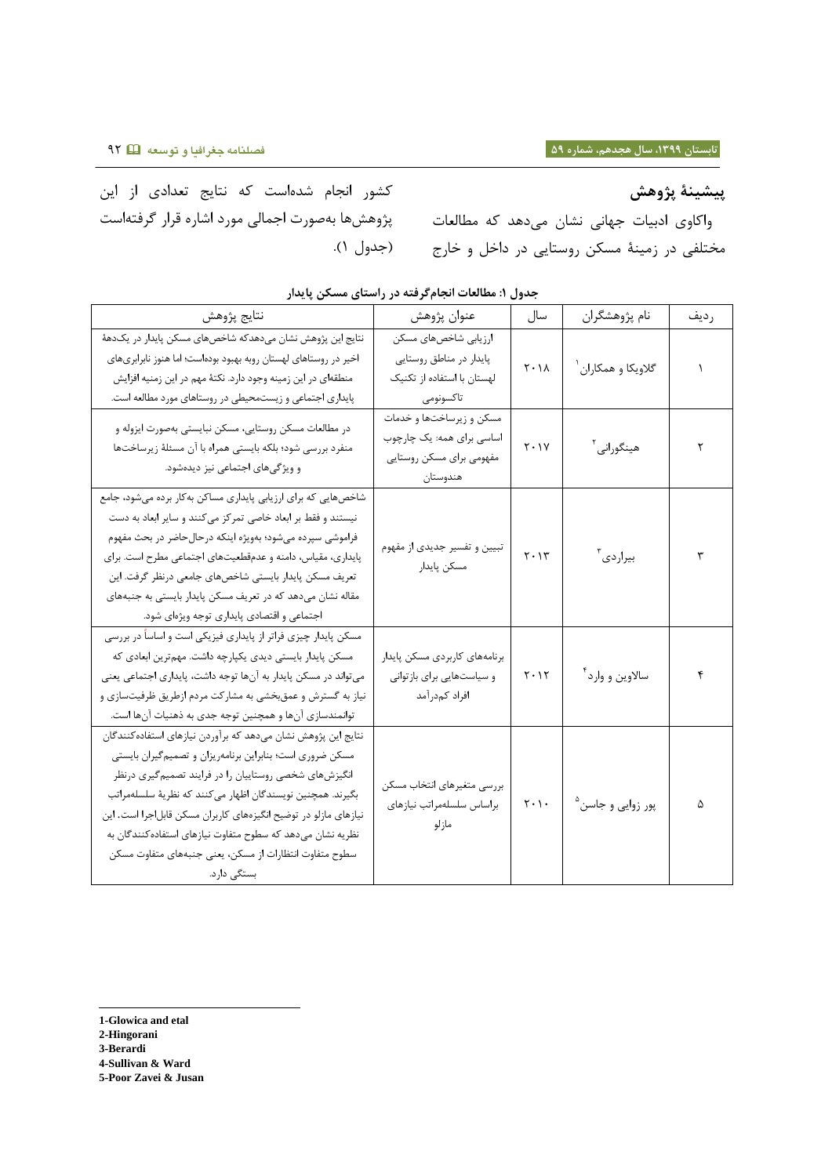کشور انجام شدهاست که نتایج تعدادی از این پژوهشها بهصورت اجمالی مورد اشاره قرار گرفتهاست

**پیشینۀ پژوهش** واکاوی ادبیات جهانی نشان میدهد که مطالعات مختلفی در زمینۀ مسکن روستایی در داخل و خارج )جدول 0(.

| نتايج پژوهش                                                                                                                                                                                                                                                                                                                                                                                                                                                   | عنوان پژوهش                                                                                   | سال                           | نام پژوهشگران                  | رديف |
|---------------------------------------------------------------------------------------------------------------------------------------------------------------------------------------------------------------------------------------------------------------------------------------------------------------------------------------------------------------------------------------------------------------------------------------------------------------|-----------------------------------------------------------------------------------------------|-------------------------------|--------------------------------|------|
| نتایج این پژوهش نشان میدهدکه شاخصهای مسکن پایدار در یکدههٔ<br>اخیر در روستاهای لهستان روبه بهبود بودهاست؛ اما هنوز نابرابریهای<br>منطقهای در این زمینه وجود دارد. نکتهٔ مهم در این زمنیه افزایش<br>پایداری اجتماعی و زیستمحیطی در روستاهای مورد مطالعه است.                                                                                                                                                                                                   | ارزیابی شاخصهای مسکن<br>پایدار در مناطق روستایی<br>لهستان با استفاده از تکنیک<br>تاكسونومى    | $Y \cdot \Lambda$             | گلاویکا و همکاران <sup>۱</sup> |      |
| در مطالعات مسكن روستايي، مسكن نبايستي بهصورت ايزوله و<br>منفرد بررسی شود؛ بلکه بایستی همراه با آن مسئلهٔ زیرساختها<br>و ویژگیهای اجتماعی نیز دیدهشود.                                                                                                                                                                                                                                                                                                         | مسکن و زیرساختها و خدمات<br>اساسی برای همه: یک چارچوب<br>مفهومی برای مسکن روستایی<br>هندوستان | $Y \cdot Y$                   | هينگوراني <sup>۲</sup>         | ٢    |
| شاخصهایی که برای ارزیابی پایداری مساکن بهکار برده میشود، جامع<br>نیستند و فقط بر ابعاد خاصی تمرکز میکنند و سایر ابعاد به دست<br>فراموشی سپرده میشود؛ بهویژه اینکه درحال حاضر در بحث مفهوم<br>پایداری، مقیاس، دامنه و عدمقطعیتهای اجتماعی مطرح است. برای<br>تعریف مسکن پایدار بایستی شاخصهای جامعی درنظر گرفت. این<br>مقاله نشان میدهد که در تعریف مسکن پایدار بایستی به جنبههای<br>اجتماعی و اقتصادی پایداری توجه ویژهای شود.                                 | تبیین و تفسیر جدیدی از مفهوم<br>مسكن پايدار                                                   | $Y \cdot Y$                   | بيراردي <sup>٢</sup>           | ٣    |
| مسکن پایدار چیزی فراتر از پایداری فیزیکی است و اساساً در بررسی<br>مسکن پایدار بایستی دیدی یکپارچه داشت. مهمترین ابعادی که<br>می تواند در مسکن پایدار به آنها توجه داشت، پایداری اجتماعی یعنی<br>نیاز به گسترش و عمقبخشی به مشارکت مردم ازطریق ظرفیتسازی و<br>توانمندسازی آنها و همچنین توجه جدی به ذهنیات آنها است.                                                                                                                                           | برنامههای کاربردی مسکن پایدار<br>و سیاستهایی برای بازتوانی<br>افراد كمدرآمد                   | $Y \cdot Y$                   | سالاوين و وارد <sup>۴</sup>    | ۴    |
| نتايج اين پژوهش نشان مىدهد كه برآوردن نيازهاى استفاده كنندگان<br>مسکن ضروری است؛ بنابراین برنامهریزان و تصمیم گیران بایستی<br>انگیزشهای شخصی روستاییان را در فرایند تصمیم گیری درنظر<br>بگیرند. همچنین نویسندگان اظهار می کنند که نظریهٔ سلسلهمراتب<br>نیازهای مازلو در توضیح انگیزههای کاربران مسکن قابل جرا است. این<br>نظریه نشان میدهد که سطوح متفاوت نیازهای استفاده کنندگان به<br>سطوح متفاوت انتظارات از مسكن، يعنى جنبههاى متفاوت مسكن<br>بستگی دارد. | بررسي متغيرهاي انتخاب مسكن<br>براساس سلسلهمراتب نيازهاى<br>مازلو                              | $\mathbf{r} \cdot \mathbf{r}$ | پور زوایی و جاسن <sup>۵</sup>  | ۵    |

**جدول :9 مطالعات انجامگرفته در راستای مسکن پایدار**

**1-Glowica and etal 2-Hingorani 3-Berardi 4-Sullivan & Ward 5-Poor Zavei & Jusan**

l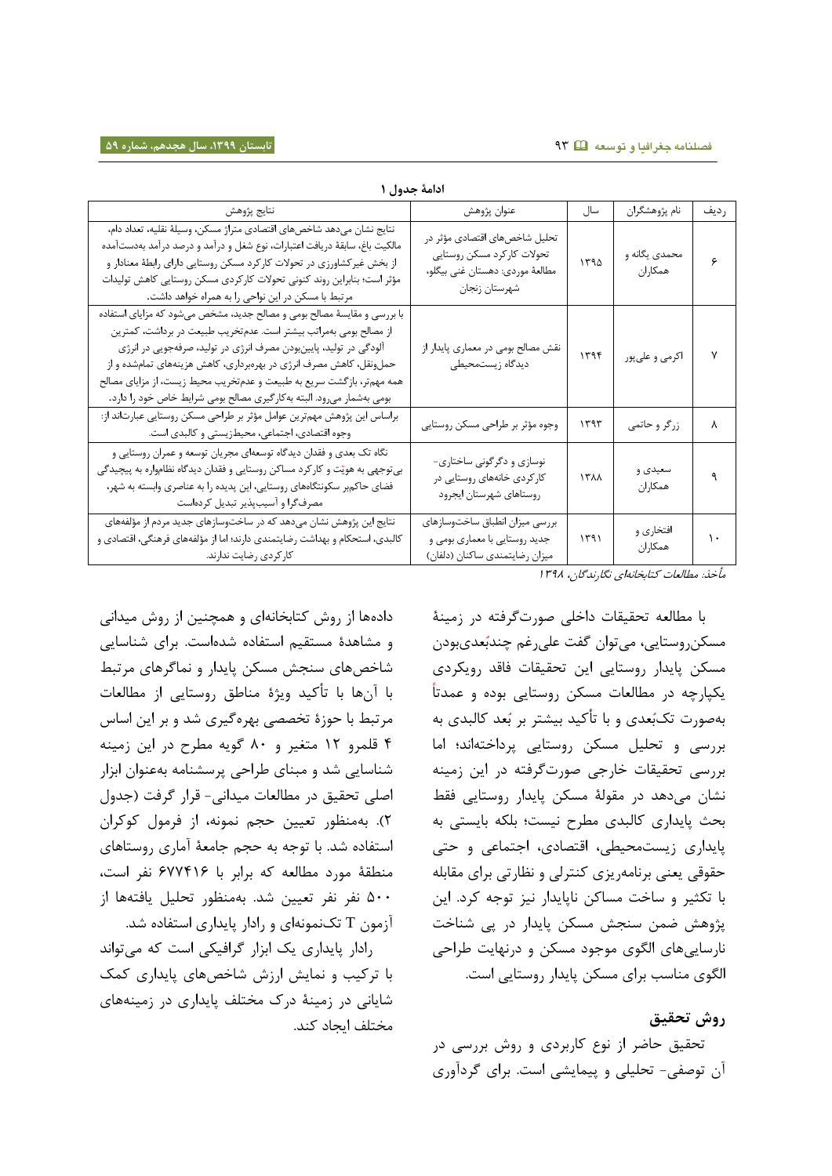|                                                                                                                                                                                                                                                                                                                                                                                                                                           | ادامة جدول ا                                                                                                     |      |                          |      |
|-------------------------------------------------------------------------------------------------------------------------------------------------------------------------------------------------------------------------------------------------------------------------------------------------------------------------------------------------------------------------------------------------------------------------------------------|------------------------------------------------------------------------------------------------------------------|------|--------------------------|------|
| نتايج پژوهش                                                                                                                                                                                                                                                                                                                                                                                                                               | عنوان پژوهش                                                                                                      | سال  | نام پژوهشگران            | رديف |
| نتايج نشان مىدهد شاخصهاى اقتصادى متراژ مسكن، وسيلة نقليه، تعداد دام،<br>مالكيت باغ، سابقهٔ دريافت اعتبارات، نوع شغل و درآمد و درصد درآمد بهدستآمده<br>از بخش غیرکشاورزی در تحولات کارکرد مسکن روستایی دارای رابطهٔ معنادار و<br>مؤثر است؛ بنابراین روند کنونی تحولات کارکردی مسکن روستایی کاهش تولیدات<br>مرتبط با مسکن در این نواحی را به همراه خواهد داشت.                                                                              | تحلیل شاخصهای اقتصادی مؤثر در<br>تحولات كاركرد مسكن روستايي<br>مطالعهٔ موردي: دهستان غني بيگلو،<br>شهرستان زنجان | ١٣٩۵ | محمدی یگانه و<br>همكاران | ۶    |
| با بررسی و مقایسهٔ مصالح بومی و مصالح جدید، مشخص میشود که مزایای استفاده<br>از مصالح بومی بهمراتب بیشتر است. عدمتخریب طبیعت در برداشت، کمترین<br>آلودگی در تولید، پایینبودن مصرف انرژی در تولید، صرفهجویی در انرژی<br>حملونقل، کاهش مصرف انرژی در بهرهبرداری، کاهش هزینههای تمامشده و از<br>همه مهمتر، بازگشت سریع به طبیعت و عدمتخریب محیط زیست، از مزایای مصالح<br>بومی بهشمار میرود. البته بهکارگیری مصالح بومی شرایط خاص خود را دارد. | نقش مصالح بومی در معماری پایدار از<br>دیدگاه زیستمحیطی                                                           | 1199 | اکرمی و علیپور           | ٧    |
| براساس این پژوهش مهمترین عوامل مؤثر بر طراحی مسکن روستایی عبارتاند از:<br>وجوه اقتصادی، اجتماعی، محیطزیستی و کالبدی است.                                                                                                                                                                                                                                                                                                                  | وجوه مؤثر بر طراحي مسكن روستايي                                                                                  | ۱۳۹۳ | زرگر و حاتمي             | ٨    |
| نگاه تک بعدی و فقدان دیدگاه توسعهای مجریان توسعه و عمران روستایی و<br>بیتوجهی به هویّت و کارکرد مساکن روستایی و فقدان دیدگاه نظامواره به پیچیدگی<br>فضای حاکمبر سکونتگاههای روستایی، این پدیده را به عناصری وابسته به شهر،<br>مصرفگرا و آسیبپذیر تبدیل کردهاست                                                                                                                                                                            | نوسازی و دگرگونی ساختاری-<br>کار کردی خانههای روستایی در<br>روستاهاي شهرستان ايجرود                              | ١٣٨٨ | سعیدی و<br>همكاران       | ٩    |
| نتایج این پژوهش نشان میدهد که در ساختوسازهای جدید مردم از مؤلفههای<br>کالبدی، استحکام و بهداشت رضایتمندی دارند؛ اما از مؤلفههای فرهنگی، اقتصادی و<br>كاركردي رضايت ندارند.                                                                                                                                                                                                                                                                | بررسي ميزان انطباق ساختوسازهاي<br>جدید روستایی با معماری بومی و<br>میزان رضایتمندی ساكنان (دلفان)                | ۱۳۹۱ | افتخاري و<br>همكاران     | ١.   |

مأخذ: مطالعات کتابخانهای نگارندگان، 0823

با مطالعه تحقیقات داخلی صورتگرفته در زمینۀ مسکن روستایی، می توان گفت علی رغم چندبُعدیبودن مسکن پایدار روستایی این تحقیقات فاقد رویکردی یکپارچه در مطالعات مسکن روستایی بوده و عمدتا بهصورت تکبُعدی و با تأکید بیشتر بر بُعد کالبدی به بررسی و تحلیل مسکن روستایی پرداختهاند؛ اما بررسی تحقیقات خارجی صورتگرفته در این زمینه نشان میدهد در مقولۀ مسکن پایدار روستایی فقط بحث پایداری کالبدی مطرح نیست؛ بلکه بایستی به پایداری زیستمحیطی، اقتصادی، اجتماعی و حتی حقوقی یعنی برنامهریزی کنترلی و نظارتی برای مقابله با تکثیر و ساخت مساکن ناپایدار نیز توجه کرد. این پژوهش ضمن سنجش مسکن پایدار در پی شناخت نارساییهای الگوی موجود مسکن و درنهایت طراحی الگوی مناسب برای مسکن پایدار روستایی است.

## **روش تحقیق**

تحقیق حاضر از نوع کاربردی و روش بررسی در آن توصفی- تحلیلی و پیمایشی است. برای گردآوری

دادهها از روش کتابخانهای و همچنین از روش میدانی و مشاهدۀ مستقیم استفاده شدهاست. برای شناسایی شاخصهای سنجش مسکن پایدار و نماگرهای مرتبط با آنها با تأکید ویژۀ مناطق روستایی از مطالعات مرتبط با حوزۀ تخصصی بهرهگیری شد و بر این اساس 8 قلمرو 07 متغیر و 31 گویه مطرح در این زمینه شناسایی شد و مبنای طراحی پرسشنامه بهعنوان ابزار اصلی تحقیق در مطالعات میدانی- قرار گرفت )جدول 7(. بهمنظور تعیین حجم نمونه، از فرمول کوکران استفاده شد. با توجه به حجم جامعۀ آماری روستاهای منطقۀ مورد مطالعه که برابر با 122801 نفر است، 811 نفر نفر تعیین شد. بهمنظور تحلیل یافتهها از آزمون T تکنمونهای و رادار پایداری استفاده شد.

رادار پایداری یک ابزار گرافیکی است که میتواند با ترکیب و نمایش ارزش شاخصهای پایداری کمک شایانی در زمینۀ درک مختلف پایداری در زمینههای مختلف ایجاد کند.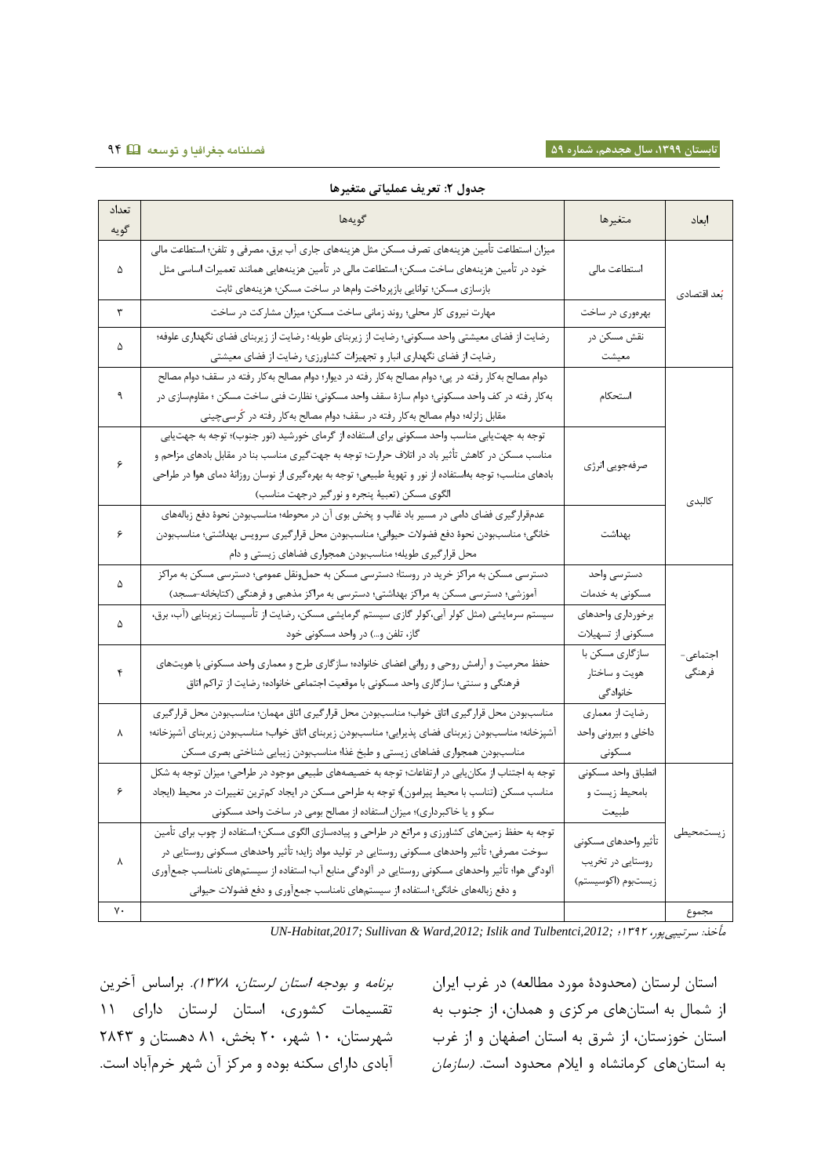|               | جدول ٢: تعريف عملياتي متغيرها                                                                                                                                                                                                                                                                                                                                                       |                                                                |                    |
|---------------|-------------------------------------------------------------------------------------------------------------------------------------------------------------------------------------------------------------------------------------------------------------------------------------------------------------------------------------------------------------------------------------|----------------------------------------------------------------|--------------------|
| تعداد<br>گويه | گويەھا                                                                                                                                                                                                                                                                                                                                                                              | متغيرها                                                        | ابعاد              |
| ۵             | میزان استطاعت تأمین هزینههای تصرف مسکن مثل هزینههای جاری آب برق، مصرفی و تلفن؛ استطاعت مالی<br>خود در تأمین هزینههای ساخت مسکن؛ استطاعت مالی در تأمین هزینههایی همانند تعمیرات اساسی مثل<br>بازسازي مسكن؛ توانايي بازپرداخت وامها در ساخت مسكن؛ هزينههاي ثابت                                                                                                                       | استطاعت مالى                                                   | بُعد اقتصادي       |
| ٣             | مهارت نیروی کار محلی؛ روند زمانی ساخت مسکن؛ میزان مشارکت در ساخت                                                                                                                                                                                                                                                                                                                    | بهرەورى در ساخت                                                |                    |
| ۵             | رضایت از فضای معیشتی واحد مسکونی؛ رضایت از زیربنای طویله؛ رضایت از زیربنای فضای نگهداری علوفه؛<br>رضایت از فضای نگهداری انبار و تجهیزات کشاورزی؛ رضایت از فضای معیشتی                                                                                                                                                                                                               | نقش مسكن در<br>معيشت                                           |                    |
| ٩             | دوام مصالح به كار رفته در پي؛ دوام مصالح به كار رفته در ديوار؛ دوام مصالح به كار رفته در سقف؛ دوام مصالح<br>به کار رفته در کف واحد مسکونی؛ دوام سازهٔ سقف واحد مسکونی؛ نظارت فنی ساخت مسکن ؛ مقاومسازی در<br>مقابل زلزله؛ دوام مصالح بهكار رفته در سقف؛ دوام مصالح بهكار رفته در كُرسىچينى                                                                                          | استحكام                                                        |                    |
| ۶             | توجه به جهت یابی مناسب واحد مسکونی برای استفاده از گرمای خورشید (نور جنوب)؛ توجه به جهت یابی<br>مناسب مسکن در کاهش تأثیر باد در اتلاف حرارت؛ توجه به جهت $\mathfrak{X}_n$ ی مناسب بنا در مقابل بادهای مزاحم و<br>بادهای مناسب؛ توجه بهاستفاده از نور و تهویهٔ طبیعی؛ توجه به بهرهگیری از نوسان روزانهٔ دمای هوا در طراحی<br>الگوي مسكن (تعبيهٔ پنجره و نورگير درجهت مناسب)          | صرفهجويي انرژى                                                 | كالبدى             |
| ۶             | عدمقرارگیری فضای دامی در مسیر باد غالب و پخش بوی آن در محوطه؛ مناسببودن نحوهٔ دفع زبالههای<br>خانگی؛ مناسببودن نحوهٔ دفع فضولات حیوانی؛ مناسببودن محل قرار گیری سرویس بهداشتی؛ مناسببودن<br>محل قرارگیری طویله؛ مناسببودن همجواری فضاهای زیستی و دام                                                                                                                                | بهداشت                                                         |                    |
| ۵             | دسترسی مسکن به مراکز خرید در روستا؛ دسترسی مسکن به حملونقل عمومی؛ دسترسی مسکن به مراکز<br>آموزشی؛ دسترسی مسکن به مراکز بهداشتی؛ دسترسی به مراکز مذهبی و فرهنگی (کتابخانه-مسجد)                                                                                                                                                                                                      | دسترسى واحد<br>مسکونی به خدمات                                 |                    |
| ۵             | سیستم سرمایشی (مثل کولر آبی،کولر گازی سیستم گرمایشی مسکن، رضایت از تأسیسات زیربنایی (آب، برق،<br>گاز، تلفن و…) در واحد مسکونی خود                                                                                                                                                                                                                                                   | برخوردارى واحدهاى<br>مسکونی از تسهیلات                         |                    |
| ۴             | حفظ محرمیت و آرامش روحی و روانی اعضای خانواده؛ سازگاری طرح و معماری واحد مسکونی با هویتهای<br>فرهنگی و سنتی؛ سازگاری واحد مسکونی با موقعیت اجتماعی خانواده؛ رضایت از تراکم اتاق                                                                                                                                                                                                     | سازگاری مسکن با<br>هويت و ساختار<br>خانوادگی                   | اجتماعی-<br>فرهنگي |
| ٨             | مناسببودن محل قرار گیری اتاق خواب؛ مناسببودن محل قرارگیری اتاق مهمان؛ مناسببودن محل قرارگیری<br>آشپزخانه؛ مناسببودن زیربنای فضای پذیرایی؛ مناسببودن زیربنای اتاق خواب؛ مناسببودن زیربنای آشپزخانه؛<br>مناسببودن همجواري فضاهاي زيستي و طبخ غذا؛ مناسببودن زيبايي شناختي بصرى مسكن                                                                                                   | رضایت از معماری<br>داخلی و بیرونی واحد<br>مسكونى               |                    |
| ۶             | توجه به اجتناب از مکان یابی در ارتفاعات؛ توجه به خصیصههای طبیعی موجود در طراحی؛ میزان توجه به شکل<br>مناسب مسکن (تناسب با محیط پیرامون)؛ توجه به طراحی مسکن در ایجاد کمترین تغییرات در محیط (ایجاد<br>سکو و یا خاکبرداری)؛ میزان استفاده از مصالح بومی در ساخت واحد مسکونی                                                                                                          | انطباق واحد مسكونى<br>بامحيط زيست و<br>طبيعت                   |                    |
| γ             | توجه به حفظ زمینهای کشاورزی و مراتع در طراحی و پیادهسازی الگوی مسکن؛ استفاده از چوب برای تأمین<br>سوخت مصرفی؛ تأثیر واحدهای مسکونی روستایی در تولید مواد زاید؛ تأثیر واحدهای مسکونی روستایی در<br>آلودگی هوا؛ تأثیر واحدهای مسکونی روستایی در آلودگی منابع آب؛ استفاده از سیستمهای نامناسب جمعآوری<br>و دفع زبالههای خانگی؛ استفاده از سیستمهای نامناسب جمعآوری و دفع فضولات حیوانی | تأثير واحدهاى مسكونى<br>روستایی در تخریب<br>زيستبوم (اكوسيستم) | زيستمحيطى          |
| ٧٠            |                                                                                                                                                                                                                                                                                                                                                                                     |                                                                | مجموع              |

*UN-Habitat,2017; Sullivan & Ward,2012; Islik and Tulbentci,2012;* ؛0827 ،سرتیپیپور :مأخذ

از شمال به استانهای مرکزی و همدان، از جنوب به تقسیمات کشوری، استان لرستان دارای 00 برنامه و بودجه استان لرستان، 0823(. براساس آخرین شهرستان، 01 شهر، 71 بخش، 30 دهستان و 7388 آبادی دارای سکنه بوده و مرکز آن شهر خرمآباد است.

استان لرستان (محدودۀ مورد مطالعه) در غرب ایران استان خوزستان، از شرق به استان اصفهان و از غرب به استانهای کرمانشاه و ایلام محدود است. *(سازمان*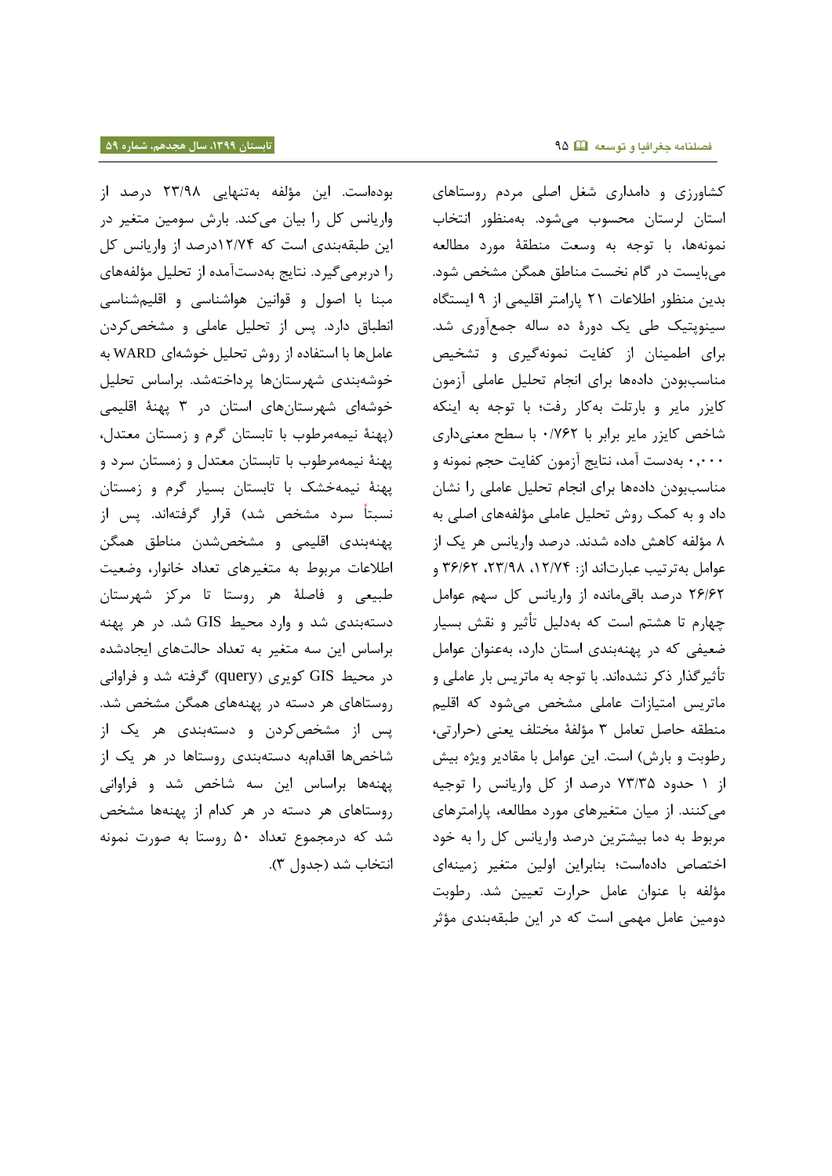بودهاست. این مؤلفه بهتنهایی 78/23 درصد از واریانس کل را بیان میکند. بارش سومین متغیر در این طبقهبندی است که 07/28درصد از واریانس کل را دربرمیگیرد. نتایج بهدستآمده از تحلیل مؤلفههای مبنا با اصول و قوانین هواشناسی و اقلیمشناسی انطباق دارد. پس از تحلیل عاملی و مشخصکردن عاملها با استفاده از روش تحلیل خوشهای WARD به خوشهبندی شهرستانها پرداختهشد. براساس تحلیل خوشهای شهرستانهای استان در 8 پهنۀ اقلیمی )پهنۀ نیمهمرطوب با تابستان گرم و زمستان معتدل، پهنۀ نیمهمرطوب با تابستان معتدل و زمستان سرد و پهنۀ نیمهخشک با تابستان بسیار گرم و زمستان نسبتا سرد مشخص شد( قرار گرفتهاند. پس از پهنهبندی اقلیمی و مشخصشدن مناطق همگن اطالعات مربوط به متغیرهای تعداد خانوار، وضعیت طبیعی و فاصلۀ هر روستا تا مرکز شهرستان دستهبندی شد و وارد محیط GIS شد. در هر پهنه براساس این سه متغیر به تعداد حالتهای ایجادشده در محیط GIS کویری )query )گرفته شد و فراوانی روستاهای هر دسته در پهنههای همگن مشخص شد. پس از مشخصکردن و دستهبندی هر یک از شاخصها اقدامبه دستهبندی روستاها در هر یک از پهنهها براساس این سه شاخص شد و فراوانی روستاهای هر دسته در هر کدام از پهنهها مشخص شد که درمجموع تعداد 81 روستا به صورت نمونه انتخاب شد (جدول ٣).

کشاورزی و دامداری شغل اصلی مردم روستاهای استان لرستان محسوب میشود. بهمنظور انتخاب نمونهها، با توجه به وسعت منطقۀ مورد مطالعه میبایست در گام نخست مناطق همگن مشخص شود. بدین منظور اطالعات 70 پارامتر اقلیمی از 2 ایستگاه سینوپتیک طی یک دورۀ ده ساله جمعآوری شد. برای اطمینان از کفایت نمونهگیری و تشخیص مناسببودن دادهها برای انجام تحلیل عاملی آزمون کایزر مایر و بارتلت بهکار رفت؛ با توجه به اینکه شاخص کایزر مایر برابر با 1/217 با سطح معنیداری 10111 بهدست آمد، نتایج آزمون کفایت حجم نمونه و مناسببودن دادهها برای انجام تحلیل عاملی را نشان داد و به کمک روش تحلیل عاملی مؤلفههای اصلی به 3 مؤلفه کاهش داده شدند. درصد واریانس هر یک از عوامل بهترتیب عبارتاند از: ١٢/٧٤، ٢٣/٩٨، ٣۶/٤٢ و 71/17 درصد باقیمانده از واریانس کل سهم عوامل چهارم تا هشتم است که بهدلیل تأثیر و نقش بسیار ضعیفی که در پهنهبندی استان دارد، بهعنوان عوامل تأثیرگذار ذکر نشدهاند. با توجه به ماتریس بار عاملی و ماتریس امتیازات عاملی مشخص میشود که اقلیم منطقه حاصل تعامل 8 مؤلفۀ مختلف یعنی )حرارتی، رطوبت و بارش) است. این عوامل با مقادیر ویژه بیش از 0 حدود 28/88 درصد از کل واریانس را توجیه میکنند. از میان متغیرهای مورد مطالعه، پارامترهای مربوط به دما بیشترین درصد واریانس کل را به خود اختصاص دادهاست؛ بنابراین اولین متغیر زمینهای مؤلفه با عنوان عامل حرارت تعیین شد. رطوبت دومین عامل مهمی است که در این طبقهبندی مؤثر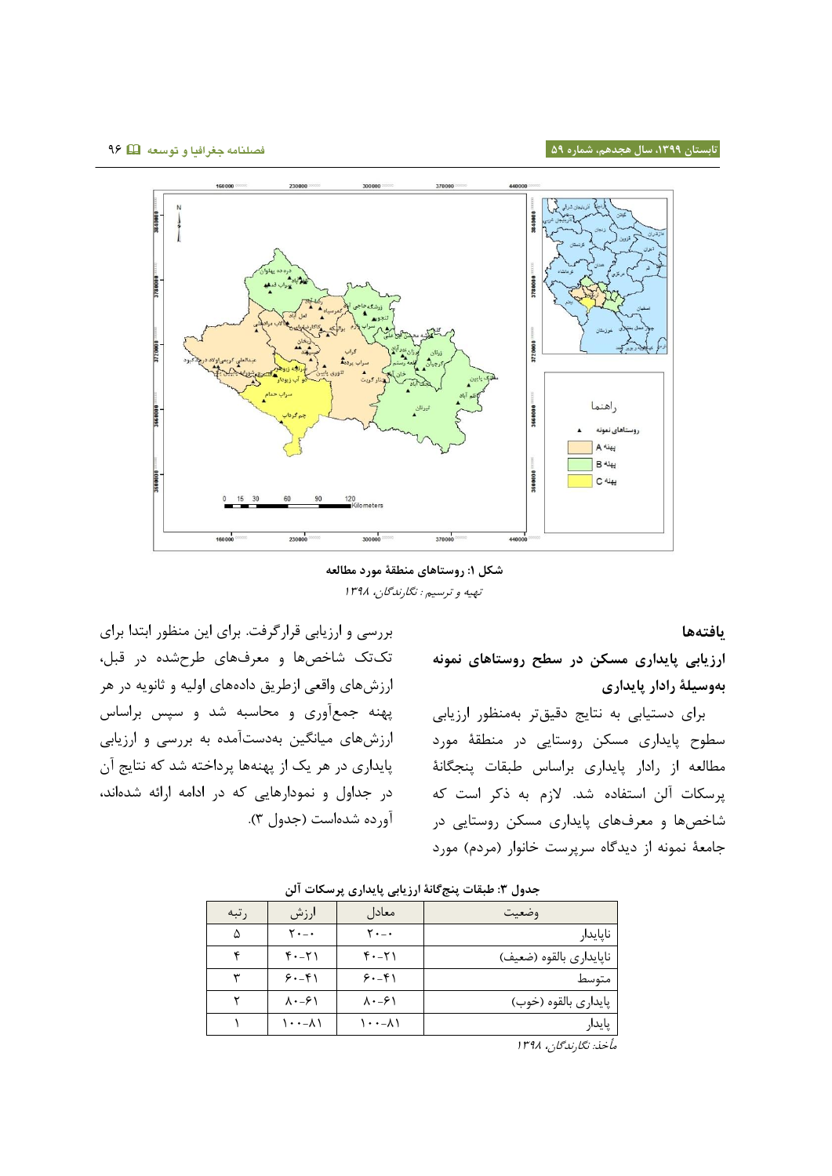

**شکل :9 روستاهای منطقۀ مورد مطالعه** تهیه و ترسیم : نگارندگان، 0823

**یافتهها**

**ارزیابی پایداری مسکن در سطح روستاهای نمونه بهوسیلۀ رادار پایداری**

برای دستیابی به نتایج دقیقتر بهمنظور ارزیابی سطوح پایداری مسکن روستایی در منطقۀ مورد مطالعه از رادار پایداری براساس طبقات پنجگانۀ پرسکات آلن استفاده شد. الزم به ذکر است که شاخصها و معرفهای پایداری مسکن روستایی در جامعۀ نمونه از دیدگاه سرپرست خانوار (مردم) مورد

بررسی و ارزیابی قرارگرفت. برای این منظور ابتدا برای تکتک شاخصها و معرفهای طرحشده در قبل، ارزشهای واقعی ازطریق دادههای اولیه و ثانویه در هر پهنه جمعآوری و محاسبه شد و سپس براساس ارزشهای میانگین بهدستآمده به بررسی و ارزیابی پایداری در هر یک از پهنهها پرداخته شد که نتایج آن در جداول و نمودارهایی که در ادامه ارائه شدهاند، آورده شدهاست )جدول 8(.

| وضعيت                   | معادل                             | ارزش                         | ر تبه |
|-------------------------|-----------------------------------|------------------------------|-------|
| ناپايدار                | ۲۰-۰                              | ۲۰-۰                         | ۵     |
| ناپايداري بالقوه (ضعيف) | $f - 7$                           | $f - 7$                      |       |
| متوسط                   | $9 - 8$                           | $9. - 9$                     |       |
| پايداري بالقوه (خوب)    | $\lambda \cdot -\epsilon \lambda$ | $\lambda \cdot -\frac{1}{2}$ |       |
| پايدار                  | $\lambda$ - $\lambda$             | $\lambda$ - $\lambda$        |       |
|                         |                                   |                              |       |

مأخذ: نگارندگان، ١٣٩٨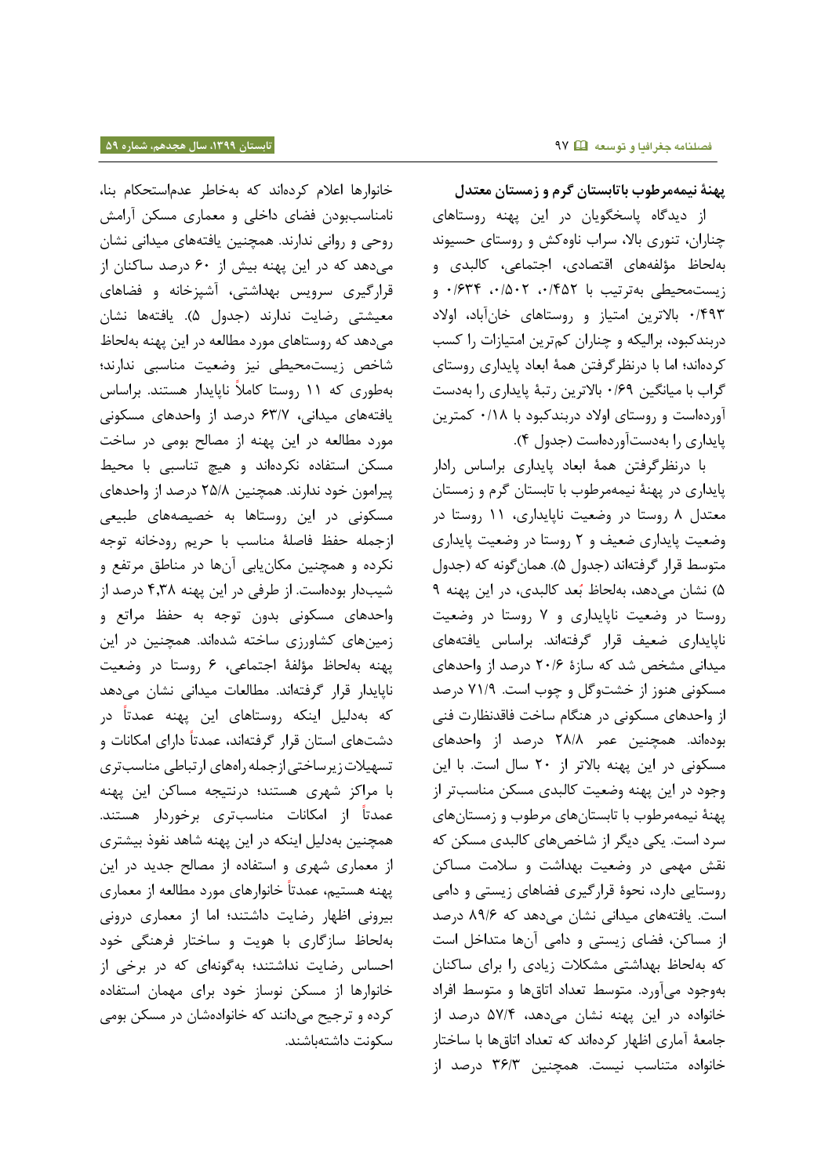**پهنۀ نیمهمرطوب باتابستان گرم و زمستان معتدل** از دیدگاه پاسخگویان در این پهنه روستاهای چناران، تنوری باال، سراب ناوهکش و روستای حسیوند بهلحاظ مؤلفههای اقتصادی، اجتماعی، کالبدی و زیستمحیطی بهترتیب با ۰/۴۵۲ ، ۰/۵۰۲ ۰/۶۳۴ و 1/828 باالترین امتیاز و روستاهای خانآباد، اوالد دربندکبود، برالیکه و چناران کمترین امتیازات را کسب کردهاند؛ اما با درنظرگرفتن همۀ ابعاد پایداری روستای گراب با میانگین 1/12 باالترین رتبۀ پایداری را بهدست آوردهاست و روستای اوالد دربندکبود با 1/03 کمترین پایداری را بهدستآوردهاست )جدول 8(.

با درنظرگرفتن همۀ ابعاد پایداری براساس رادار پایداری در پهنۀ نیمهمرطوب با تابستان گرم و زمستان معتدل 3 روستا در وضعیت ناپایداری، 00 روستا در وضعیت پایداری ضعیف و 7 روستا در وضعیت پایداری متوسط قرار گرفتهاند (جدول ۵). همان گونه که (جدول ۵) نشان میدهد، به لحاظ بُعد کالبدی، در این پهنه ۹ روستا در وضعیت ناپایداری و 2 روستا در وضعیت ناپایداری ضعیف قرار گرفتهاند. براساس یافتههای میدانی مشخص شد که سازۀ 71/1 درصد از واحدهای مسکونی هنوز از خشتوگل و چوب است. 20/2 درصد از واحدهای مسکونی در هنگام ساخت فاقدنظارت فنی بودهاند. همچنین عمر 73/3 درصد از واحدهای مسکونی در این پهنه باالتر از 71 سال است. با این وجود در این پهنه وضعیت کالبدی مسکن مناسبتر از پهنۀ نیمهمرطوب با تابستانهای مرطوب و زمستانهای سرد است. یکی دیگر از شاخصهای کالبدی مسکن که نقش مهمی در وضعیت بهداشت و سالمت مساکن روستایی دارد، نحوۀ قرارگیری فضاهای زیستی و دامی است. یافتههای میدانی نشان میدهد که 32/1 درصد از مساکن، فضای زیستی و دامی آنها متداخل است که بهلحاظ بهداشتی مشکالت زیادی را برای ساکنان بهوجود میآورد. متوسط تعداد اتاقها و متوسط افراد خانواده در این پهنه نشان میدهد، 82/8 درصد از جامعۀ آماری اظهار کردهاند که تعداد اتاقها با ساختار خانواده متناسب نیست. همچنین 81/8 درصد از

خانوارها اعالم کردهاند که بهخاطر عدماستحکام بنا، نامناسببودن فضای داخلی و معماری مسکن آرامش روحی و روانی ندارند. همچنین یافتههای میدانی نشان میدهد که در این پهنه بیش از 11 درصد ساکنان از قرارگیری سرویس بهداشتی، آشپزخانه و فضاهای معیشتی رضایت ندارند )جدول 8(. یافتهها نشان میدهد که روستاهای مورد مطالعه در این پهنه بهلحاظ شاخص زیستمحیطی نیز وضعیت مناسبی ندارند؛ بهطوری که 00 روستا کامال ناپایدار هستند. براساس یافتههای میدانی، 18/2 درصد از واحدهای مسکونی مورد مطالعه در این پهنه از مصالح بومی در ساخت مسکن استفاده نکردهاند و هیچ تناسبی با محیط پیرامون خود ندارند. همچنین 78/3 درصد از واحدهای مسکونی در این روستاها به خصیصههای طبیعی ازجمله حفظ فاصلهٔ مناسب با حریم رودخانه توجه نکرده و همچنین مکانیابی آنها در مناطق مرتفع و شیبدار بودهاست. از طرفی در این پهنه 8083 درصد از واحدهای مسکونی بدون توجه به حف مراتع و زمینهای کشاورزی ساخته شدهاند. همچنین در این پهنه بهلحاظ مؤلفۀ اجتماعی، 1 روستا در وضعیت ناپایدار قرار گرفتهاند. مطالعات میدانی نشان میدهد که به دلیل اینکه روستاهای این پهنه عمدتا در دشتهای استان قرار گرفتهاند، عمدتا دارای امکانات و تسهیالتزیرساختیازجمله راههای ارتباطی مناسبتری با مراکز شهری هستند؛ درنتیجه مساکن این پهنه عمدتا از امکانات مناسبتری برخوردار هستند. همچنین بهدلیل اینکه در این پهنه شاهد نفوذ بیشتری از معماری شهری و استفاده از مصالح جدید در این پهنه هستیم، عمدتا خانوارهای مورد مطالعه از معماری بیرونی اظهار رضایت داشتند؛ اما از معماری درونی بهلحاظ سازگاری با هویت و ساختار فرهنگی خود احساس رضایت نداشتند؛ بهگونهای که در برخی از خانوارها از مسکن نوساز خود برای مهمان استفاده کرده و ترجیح میدانند که خانوادهشان در مسکن بومی سکونت داشتهباشند.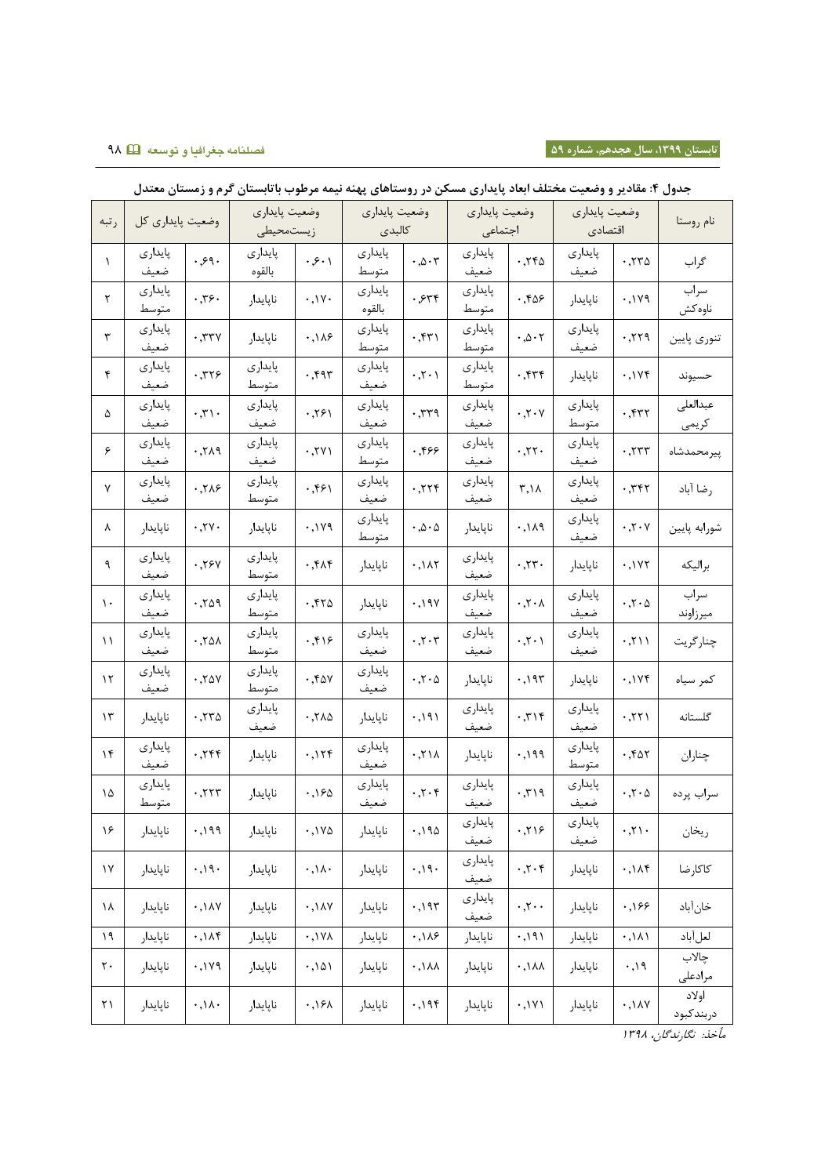# **تابستان ،9911 سال هجدهم، شماره 51 فصلنامه جغرافیا و توسعه** 23

|                      |                  |                                 | وضعيت پايداري |                               | وضعيت پايداري     |                                           | وضعيت پايداري    |                                                 | وضعيت پايداري |                                   |              |
|----------------------|------------------|---------------------------------|---------------|-------------------------------|-------------------|-------------------------------------------|------------------|-------------------------------------------------|---------------|-----------------------------------|--------------|
| رتبه                 | وضعيت پايداري كل |                                 | زيستمحيطى     |                               | كالبدى            |                                           | اجتماعى          |                                                 | اقتصادى       |                                   | نام روستا    |
|                      |                  |                                 |               |                               |                   |                                           |                  |                                                 |               |                                   |              |
| $\lambda$            | پايدارى          | .99.                            | پايدارى       | .5.1                          | پايدارى           | $\cdot \cdot \circ \cdot \tau$            | پایداری          | .750                                            | پايدارى       | .770                              | گراب         |
|                      | ضعيف             |                                 | بالقوه        |                               | متوسط             |                                           | ضعيف             |                                                 | ضعيف          |                                   | سراب         |
| ٢                    | پایداری<br>متوسط | .79.                            | ناپايدار      | $\cdot$ , $\vee$ $\cdot$      | پايدارى<br>بالقوه | .554                                      | پایداری<br>متوسط | .58                                             | ناپايدار      | .119                              | ناوهكش       |
|                      |                  |                                 |               |                               |                   |                                           |                  |                                                 |               |                                   |              |
| ٣                    | پایداری          | .777                            | ناپايدار      | .149                          | پايدارى           | .55                                       | پايدارى          | $\cdot \, . \, \vartriangle \cdot \, \curlyvee$ | پايدارى       | .779                              | تنوري پايين  |
|                      | ضعيف             |                                 |               |                               | متوسط             |                                           | متوسط            |                                                 | ضعيف          |                                   |              |
| ۴                    | پايدارى          | .779                            | پايدارى       | .597                          | پايدارى           | $\cdot$ , $\cdot$ $\cdot$ $\cdot$         | پايدارى          | .555                                            | ناپايدار      | .1Yf                              | حسيوند       |
|                      | ضعيف             |                                 | متوسط         |                               | ضعيف              |                                           | متوسط            |                                                 |               |                                   |              |
| ۵                    | پايدارى          | $\cdot$ , $\mathbf{r}$          | پايدارى       | .791                          | پايدارى           | .779                                      | پايدارى          | $\cdot$ , $\mathbf{r} \cdot \mathbf{v}$         | پايدارى       | .577                              | عبدالعلى     |
|                      | ضعيف             |                                 | ضعيف          |                               | ضعيف              |                                           | ضعيف             |                                                 | متوسط         |                                   | كريمي        |
| ۶                    | پایداری          | .719                            | پايدارى       | .7Y)                          | پايدارى           | .559                                      | پايدارى          | .77.                                            | پايدارى       | .777                              | پيرمحمدشاه   |
|                      | ضعيف             |                                 | ضعيف          |                               | متوسط             |                                           | ضعيف             |                                                 | ضعيف          |                                   |              |
| ٧                    | پايدارى          | .719                            | پايدارى       | ۰٫۴۶۱                         | پايدارى           | .779                                      | پايدارى          | $\mathsf{r},\mathsf{N}$                         | پايدارى       | ۰٫۳۴۲                             | رضا آباد     |
|                      | ضعيف             |                                 | متوسط         |                               | ضعيف              |                                           | ضعيف             |                                                 | ضعيف          |                                   |              |
| ٨                    | ناپايدار         | .74.                            | ناپايدار      | .119                          | پايدارى           | $\cdot \cdot \mathsf{A} \cdot \mathsf{A}$ | ناپايدار         | .111                                            | پايدارى       | $\cdot$ , $\cdot$ $\cdot$ $\vee$  | شورابه پايين |
|                      |                  |                                 |               |                               | متوسط             |                                           |                  |                                                 | ضعيف          |                                   |              |
| ٩                    | پایداری          | .75y                            | پايدارى       | .54                           | ناپايدار          | .147                                      | پايدارى          | .77.                                            | ناپايدار      | .1Y                               | براليكه      |
|                      | ضعيف             |                                 | متوسط         |                               |                   |                                           | ضعيف             |                                                 |               |                                   |              |
| $\mathcal{L}$        | پايدارى          | .709                            | پايدارى       | .570                          | ناپايدار          | $\cdot$ , $\gamma$                        | پايدارى          | $\cdot$ ,<br>۲ $\cdot$ $\wedge$                 | پايدارى       | $\cdot$ ,۲ $\cdot$ $\Delta$       | سراب         |
|                      | ضعيف             |                                 | متوسط         |                               |                   |                                           | ضعيف             |                                                 | ضعيف          |                                   | ميرزاوند     |
| $\setminus$          | پایداری          | $\cdot$ , $\tau \Delta \lambda$ | پايدارى       | .59                           | پايداري           | $\cdot$ , $\cdot$ , $\cdot$               | پايدارى          | $\cdot$ , $\cdot$ $\cdot$ $\cdot$               | پايدارى       | .711                              | چنارگريت     |
|                      | ضعيف             |                                 | متوسط         |                               | ضعيف              |                                           | ضعيف             |                                                 | ضعيف          |                                   |              |
| $\gamma$             | پايدارى          | .70Y                            | پايدارى       | .50V                          | پايدارى           | $\cdot$ ,۲ $\cdot$ ۵                      | ناپايدار         | .195                                            | ناپايدار      | .1196                             | كمر سياه     |
|                      | ضعيف             |                                 | متوسط         |                               | ضعيف              |                                           |                  |                                                 |               |                                   |              |
| $\gamma$             | ناپايدار         | .770                            | پايدارى       | .710                          | ناپايدار          | ۰,۱۹۱                                     | پايدارى          | .715                                            | پايدارى       | .771                              | گلستانه      |
|                      |                  |                                 | ضعيف          |                               |                   |                                           | ضعيف             |                                                 | ضعيف          |                                   |              |
| $\mathcal{N}$        | پايدارى          | .755                            | ناپايدار      | .15f                          | پايدارى           | .71                                       | ناپايدار         | .199                                            | پايدارى       | .567                              | چناران       |
|                      | ضعيف             |                                 |               |                               | ضعيف              |                                           |                  |                                                 | متوسط         |                                   |              |
| ۱۵                   | پايدارى          | .777                            | ناپايدار      | ۱۶۵.                          | پايدارى           | $\cdot$ , $\mathbf{r} \cdot \mathbf{r}$   | پايدارى          | .719                                            | پايدارى       | $\cdot$ , $\cdot$ $\wedge$        | سراب پرده    |
|                      | متوسط            |                                 |               |                               | ضعيف              |                                           | ضعيف             |                                                 | ضعيف          |                                   |              |
| ۱۶                   | ناپايدار         | .199                            | ناپايدار      | $\cdot$ ,174                  | ناپايدار          | ۰,۱۹۵ $\cdot$                             | پايداري          | .719                                            | پايداري       | $\cdot$ , $\uparrow \wedge \cdot$ | ريخان        |
|                      |                  |                                 |               |                               |                   |                                           | ضعيف             |                                                 | ضعيف          |                                   |              |
| $\backslash\!\!\vee$ | ناپايدار         | .01.1                           | ناپايدار      | $\cdot$ ,\ $\wedge$ .         | ناپايدار          | $\cdot$ ,\q.                              | پايدارى          | $\cdot$ , $\cdot$ , $\cdot$                     | ناپايدار      | .14f                              | كاكارضا      |
|                      |                  |                                 |               |                               |                   |                                           | ضعيف             |                                                 |               |                                   |              |
| ١٨                   | ناپايدار         | .14Y                            | ناپايدار      | $\cdot$ ,<br>1 $\land$ $\lor$ | ناپايدار          | .195                                      | پايدارى          | $\cdot$ , $\cdot$ $\cdot$                       | ناپايدار      | .199                              | خانآباد      |
|                      |                  |                                 |               |                               |                   |                                           | ضعيف             |                                                 |               |                                   |              |
| $\mathcal{M}$        | ناپايدار         | .14f                            | ناپايدار      | $\lambda \gamma$ , $\gamma$   | ناپايدار          | .145                                      | ناپايدار         | .191                                            | ناپايدار      | .111                              | لعل أباد     |
| $\mathbf{r}$ .       | ناپايدار         | .119                            | ناپايدار      | .101                          | ناپايدار          | $\cdot$ , $\lambda\lambda$                | ناپايدار         | $\cdot$ , \ $\lambda\lambda$                    | ناپايدار      | ۰,۱۹                              | چالاب        |
|                      |                  |                                 |               |                               |                   |                                           |                  |                                                 |               |                                   | مرادعلى      |
| $\uparrow\uparrow$   | ناپايدار         | $\cdot$ ,\ $\wedge$ .           | ناپايدار      | .191                          | ناپايدار          | .195                                      | ناپايدار         | .1Y1                                            | ناپايدار      | .14V                              | اولاد        |
|                      |                  |                                 |               |                               |                   |                                           |                  |                                                 |               |                                   | دربندكبود    |

### **جدول :4 مقادیر و وضعیت مختلف ابعاد پایداری مسکن در روستاهای پهنه نیمه مرطوب باتابستان گرم و زمستان معتدل**

مأخذ: نگارندگان، 0823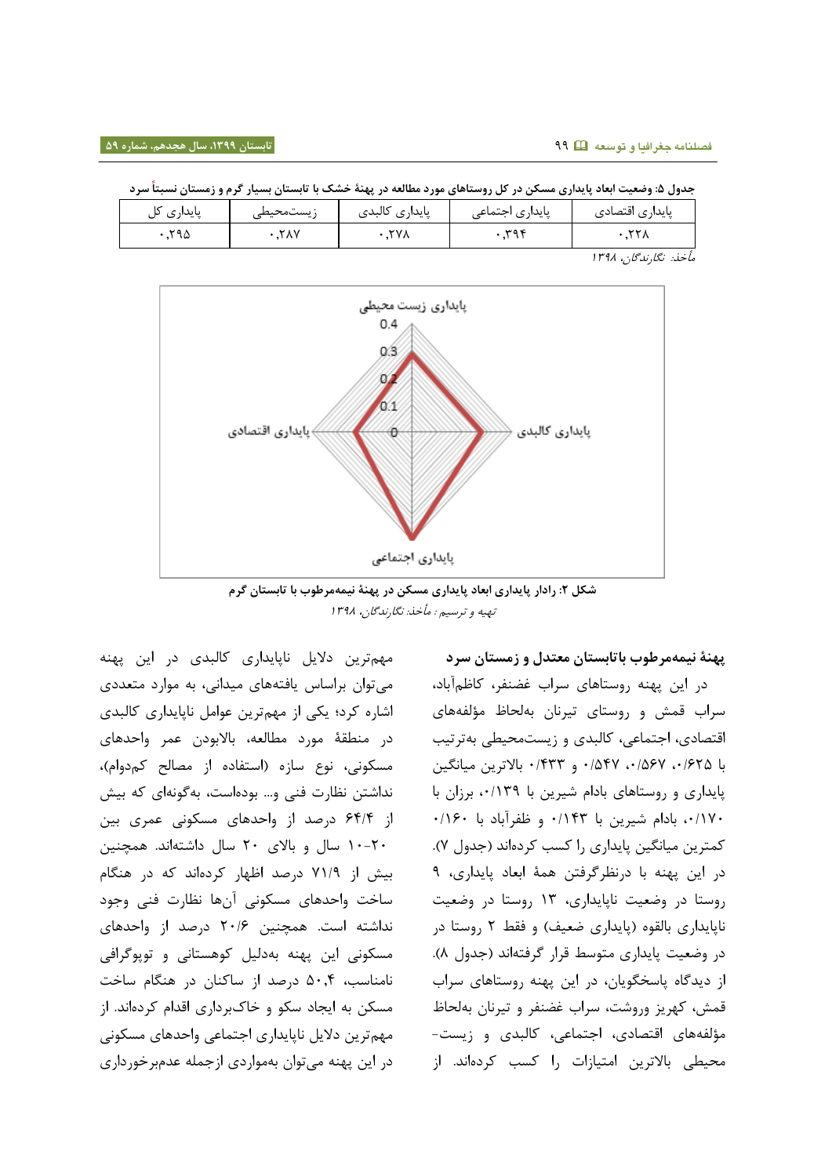|            |           | . .<br>---     | ,, , , ,        |                 |
|------------|-----------|----------------|-----------------|-----------------|
| پایداری کل | زيستمحيطى | پايدارى كالبدى | پایداری اجتماعی | پایداری اقتصادی |
| ≺۹۵        | ،۲۸۷      | <b>TYA</b>     | ۳۹۴             |                 |

**جدول :9 وضعیت ابعاد پایداری مسکن در کل روستاهای مورد مطالعه در پهنۀ خشک با تابستان بسیار گرم و زمستان نسبتا سرد**

مأخذ: نگارندگان، 0823



**شکل :8 رادار پایداری ابعاد پایداری مسکن در پهنۀ نیمهمرطوب با تابستان گرم** تهیه و ترسیم : مأخذ: نگارندگان، 0823

مهمترین دالیل ناپایداری کالبدی در این پهنه میتوان براساس یافتههای میدانی، به موارد متعددی اشاره کرد؛ یکی از مهمترین عوامل ناپایداری کالبدی در منطقۀ مورد مطالعه، باالبودن عمر واحدهای مسکونی، نوع سازه (استفاده از مصالح کمدوام)، نداشتن نظارت فنی و... بودهاست، بهگونهای که بیش از 18/8 درصد از واحدهای مسکونی عمری بین 01-71 سال و باالی 71 سال داشتهاند. همچنین بیش از 20/2 درصد اظهار کردهاند که در هنگام ساخت واحدهای مسکونی آنها نظارت فنی وجود نداشته است. همچنین 71/1 درصد از واحدهای مسکونی این پهنه بهدلیل کوهستانی و توپوگرافی نامناسب، 8108 درصد از ساکنان در هنگام ساخت مسکن به ایجاد سکو و خاکبرداری اقدام کردهاند. از مهمترین دالیل ناپایداری اجتماعی واحدهای مسکونی در این پهنه میتوان بهمواردی ازجمله عدمبرخورداری

**پهنۀ نیمهمرطوب باتابستان معتدل و زمستان سرد** در این پهنه روستاهای سراب غضنفر، کاظمآباد، سراب قمش و روستای تیرنان بهلحاظ مؤلفههای اقتصادی، اجتماعی، کالبدی و زیستمحیطی بهترتیب با ،1/178 ،1/812 1/882 و 1/888 باالترین میانگین پایداری و روستاهای بادام شیرین با ۰/۱۳۹ برزان با ،1/021 بادام شیرین با 1/088 و ظفرآباد با 1/011 کمترین میانگین پایداری را کسب کردهاند )جدول 2(. در این پهنه با درنظرگرفتن همۀ ابعاد پایداری، 2 روستا در وضعیت ناپایداری، 08 روستا در وضعیت ناپایداری بالقوه (پایداری ضعیف) و فقط ۲ روستا در در وضعیت پایداری متوسط قرار گرفتهاند )جدول 3(. از دیدگاه پاسخگویان، در این پهنه روستاهای سراب قمش، کهریز وروشت، سراب غضنفر و تیرنان بهلحاظ مؤلفههای اقتصادی، اجتماعی، کالبدی و زیست- محیطی باالترین امتیازات را کسب کردهاند. از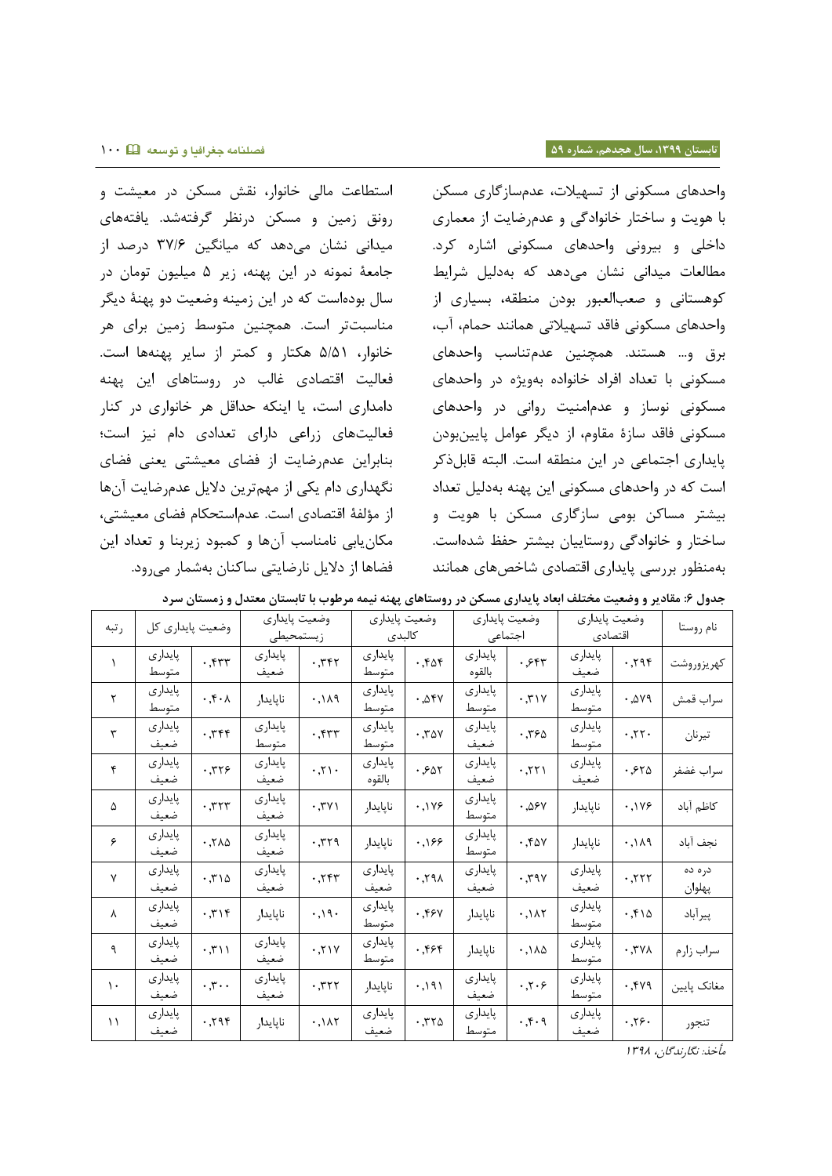واحدهای مسکونی از تسهیالت، عدمسازگاری مسکن با هویت و ساختار خانوادگی و عدمرضایت از معماری داخلی و بیرونی واحدهای مسکونی اشاره کرد. مطالعات میدانی نشان میدهد که بهدلیل شرایط کوهستانی و صعبالعبور بودن منطقه، بسیاری از واحدهای مسکونی فاقد تسهیالتی همانند حمام، آب، برق و... هستند. همچنین عدمتناسب واحدهای مسکونی با تعداد افراد خانواده بهویژه در واحدهای مسکونی نوساز و عدمامنیت روانی در واحدهای مسکونی فاقد سازۀ مقاوم، از دیگر عوامل پایینبودن پایداری اجتماعی در این منطقه است. البته قابلذکر است که در واحدهای مسکونی این پهنه بهدلیل تعداد بیشتر مساکن بومی سازگاری مسکن با هویت و ساختار و خانوادگی روستاییان بیشتر حفظ شدهاست. بهمنظور بررسی پایداری اقتصادی شاخصهای همانند

استطاعت مالی خانوار، نقش مسکن در معیشت و رونق زمین و مسکن درنظر گرفتهشد. یافتههای میدانی نشان میدهد که میانگین 82/1 درصد از جامعۀ نمونه در این پهنه، زیر 8 میلیون تومان در سال بودهاست که در این زمینه وضعیت دو پهنۀ دیگر مناسبتتر است. همچنین متوسط زمین برای هر خانوار، 8/80 هکتار و کمتر از سایر پهنهها است. فعالیت اقتصادی غالب در روستاهای این پهنه دامداری است، یا اینکه حداقل هر خانواری در کنار فعالیتهای زراعی دارای تعدادی دام نیز است؛ بنابراین عدمرضایت از فضای معیشتی یعنی فضای نگهداری دام یکی از مهمترین دالیل عدمرضایت آنها از مؤلفۀ اقتصادی است. عدماستحکام فضای معیشتی، مکانیابی نامناسب آنها و کمبود زیربنا و تعداد این فضاها از دالیل نارضایتی ساکنان بهشمار میرود.

|               | ---- ن --ر       | ־ט נ נ־                  | ∙ں ۔۔                      | ,,,, <i>,</i> , | ~ی—                     |                              | پیشری سستی تر رو         |                                                 |                          | -775                                | .--دن ۳          |
|---------------|------------------|--------------------------|----------------------------|-----------------|-------------------------|------------------------------|--------------------------|-------------------------------------------------|--------------------------|-------------------------------------|------------------|
| رتبه          | وضعیت پایداری کل |                          | وضعيت پايداري<br>زيستمحيطى |                 | وضعيت پايداري<br>كالبدى |                              | وضعيت پايداري<br>اجتماعى |                                                 | وضعيت پايداري<br>اقتصادى |                                     | نام روستا        |
| $\lambda$     | پایداری<br>متوسط | .55                      | پايدارى<br>ضعيف            | .777            | پایداری<br>متوسط        | .565                         | پايدارى<br>بالقوه        | .554                                            | پایداری<br>ضعيف          | .795                                | كهريزوروشت       |
| $\mathsf{r}$  | پايدارى<br>متوسط | $\cdot$ , $\cdot \wedge$ | ناپايدار                   | .119            | پايدارى<br>متوسط        | .05Y                         | پايدارى<br>متوسط         | 4.71Y                                           | پايدارى<br>متوسط         | .249                                | سراب قمش         |
| $\mathbf{r}$  | پايدارى<br>ضعيف  | .759                     | پايدارى<br>متوسط           | .55             | پايدارى<br>متوسط        | .70V                         | پايدارى<br>ضعيف          | .790                                            | پايدارى<br>متوسط         | .77.                                | تيرنان           |
| ۴             | پایداری<br>ضعيف  | .779                     | پایداری<br>ضعيف            | .71.            | پایداری<br>بالقوه       | .501                         | پايدارى<br>ضعيف          | .771                                            | پايدارى<br>ضعيف          | .570                                | سراب غضفر        |
| Δ             | پايدارى<br>ضعيف  | .777                     | پایداری<br>ضعيف            | .7Y             | ناپايدار                | .1199                        | پایداری<br>متوسط         | .05Y                                            | ناپايدار                 | .1199                               | كاظم آباد        |
| ۶             | پايدارى<br>ضعيف  | 0.710                    | پايدارى<br>ضعيف            | .779            | ناپايدار                | .199                         | پايدارى<br>متوسط         | .50V                                            | ناپايدار                 | 911.4                               | نجف آباد         |
| $\mathsf{v}$  | پايدارى<br>ضعيف  | .710                     | پايدارى<br>ضعىف            | .757            | پايدارى<br>ضعيف         | $\lambda$ $\beta$ $\gamma$ . | پايدارى<br>ضعيف          | $\cdot$ , $\mathbf{y}$                          | پايدارى<br>ضعيف          | .777                                | دره ده<br>پهلوان |
| $\lambda$     | پايدارى<br>ضعيف  | .719                     | ناپايدار                   | .91.            | پايدارى<br>متوسط        | .59y                         | ناپايدار                 | .111                                            | پايدارى<br>متوسط         | .510                                | پيرأباد          |
| ٩             | پايدارى<br>ضعيف  | $\cdot$ , $\mathsf{r}$   | پایداری<br>ضعيف            | .71Y            | پایداری<br>متوسط        | .555                         | ناپايدار                 | .140                                            | پایداری<br>متوسط         | $\cdot$ , $\mathsf{r}$ $\mathsf{v}$ | سراب زارم        |
| $\mathcal{L}$ | پايدارى<br>ضعيف  | $\cdot$ , $\mathbf{y}$   | پايدارى<br>ضعيف            | .777            | ناپايدار                | .191                         | پایداری<br>ضعيف          | $\cdot$ , $\cdot$ , $\cdot$                     | پايدارى<br>متوسط         | .549                                | مغانک پايين      |
| $\setminus$   | پايدارى<br>ضعيف  | .795                     | ناپايدار                   | .147            | پايدارى<br>ضعيف         | .770                         | پايدارى<br>متوسط         | $\cdot$ , $\mathfrak{f}$ $\cdot$ $\mathfrak{q}$ | پايدارى<br>ضعيف          | .37.                                | تنجور            |

**جدول :2 مقادیر و وضعیت مختلف ابعاد پایداری مسکن در روستاهای پهنه نیمه مرطوب با تابستان معتدل و زمستان سرد**

مأخذ: نگارندگان، 0823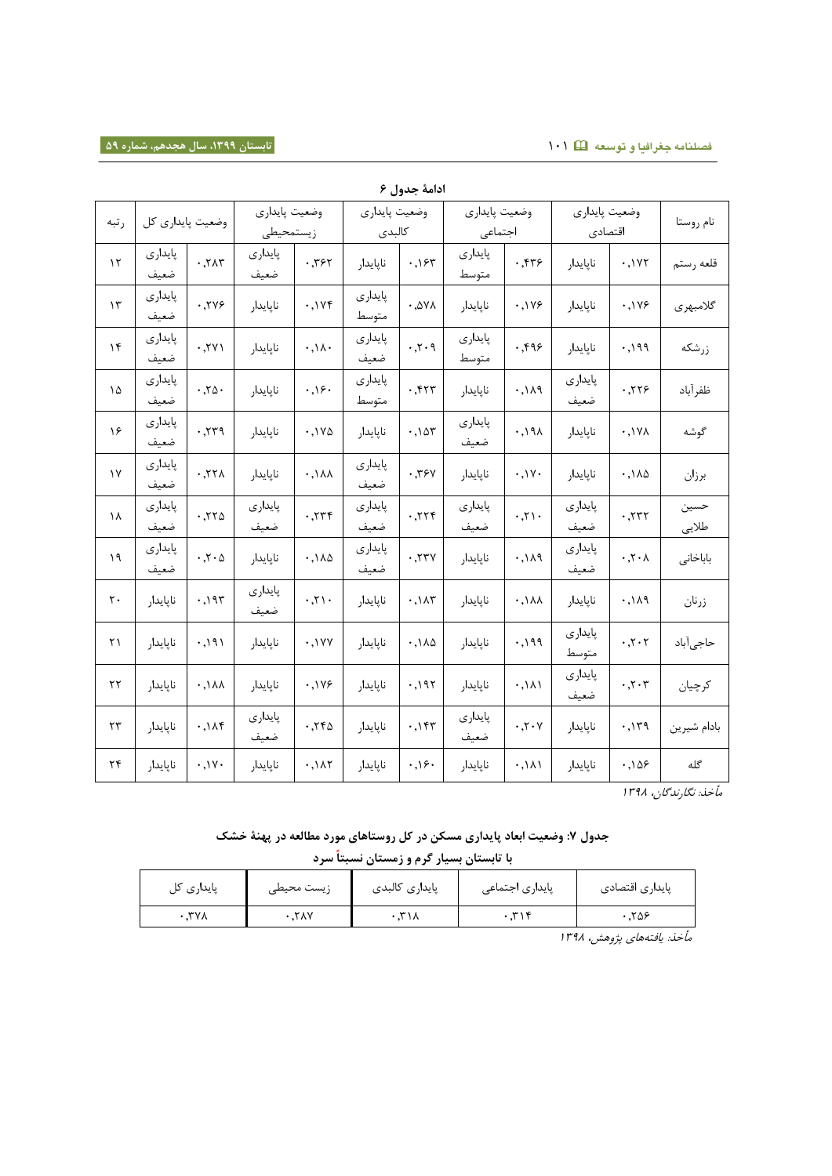## **فصلنامه جغرافیا و توسعه** 010 **تابستان ،9911 سال هجدهم، شماره 51**

|               | ادامهٔ جدول ۶    |                            |                 |                  |                  |              |                  |                                  |                  |                          |               |
|---------------|------------------|----------------------------|-----------------|------------------|------------------|--------------|------------------|----------------------------------|------------------|--------------------------|---------------|
| رتبه          | وضعيت پايداري كل |                            | وضعيت پايداري   |                  | وضعيت پايداري    |              | وضعيت پايداري    |                                  | وضعيت پايداري    |                          | نام روستا     |
|               |                  |                            | زيستمحيطى       |                  | كالبدى           |              | اجتماعى          |                                  | اقتصادى          |                          |               |
| $\mathcal{N}$ | پایداری<br>ضعيف  | .717                       | پایداری<br>ضعيف | .757             | ناپايدار         | .155         | پايدارى<br>متوسط | .559                             | ناپايدار         | .1Y                      | قلعه رستم     |
| $\gamma$      | پايدارى<br>ضعيف  | .749                       | ناپايدار        | .1Yf             | پايدارى<br>متوسط | $.04\lambda$ | ناپايدار         | .1199                            | ناپايدار         | .1199                    | گلامبهري      |
| $\gamma$      | پایداری<br>ضعيف  | .7Y                        | ناپايدار        | .11.             | پايدارى<br>ضعيف  | .7.9         | پايدارى<br>متوسط | .599                             | ناپايدار         | .199                     | زرشكه         |
| ۱۵            | پایداری<br>ضعيف  | .70.                       | ناپايدار        | .39.             | پايدارى<br>متوسط | .557         | ناپايدار         | .111                             | پايدارى<br>ضعيف  | .779                     | ظفرآباد       |
| ۱۶            | پایداری<br>ضعيف  | .779                       | ناپايدار        | .1Y <sub>0</sub> | ناپايدار         | .105         | پايدارى<br>ضعيف  | .191                             | ناپايدار         | $\cdot$ . $\sqrt{V}$     | گوشه          |
| $\gamma$      | پايدارى<br>ضعيف  | .77 <sub>1</sub>           | ناپايدار        | $.14\lambda$     | پايدارى<br>ضعيف  | .794         | ناپايدار         | .1V.                             | ناپايدار         | $.1\lambda\Delta$        | برزان         |
| ١٨            | پایداری<br>ضعيف  | .770                       | پایداری<br>ضعيف | .779             | پايدارى<br>ضعيف  | .779         | پايدارى<br>ضعيف  | .71.                             | پايدارى<br>ضعيف  | .777                     | حسين<br>طلايي |
| ١٩            | پایداری<br>ضعيف  | $\cdot$ , $\cdot$ $\wedge$ | ناپايدار        | .110             | پايدارى<br>ضعيف  | .77V         | ناپايدار         | .119                             | پايدارى<br>ضعيف  | $\cdot$ , $\cdot \wedge$ | باباخانى      |
| ٢٠            | نايايدار         | .195                       | پایداری<br>ضعيف | .71.             | ناپايدار         | .147         | ناپايدار         | .1 <sub>AA</sub>                 | ناپايدار         | $P_A/I.$                 | زرنان         |
| ۲۱            | ناپايدار         | .191                       | ناپايدار        | .1YY             | ناپايدار         | .140         | ناپايدار         | .199                             | پايدارى<br>متوسط | .7.7                     | حاجىآباد      |
| $\tau\tau$    | ناپايدار         | $\cdot$ , $\lambda\lambda$ | ناپايدار        | .1199            | ناپايدار         | .195         | ناپايدار         | .111                             | پايدارى<br>ضعيف  | .7.7                     | كرچيان        |
| $\tau\tau$    | ناپايدار         | .14f                       | پايدارى<br>ضعيف | .750             | ناپايدار         | .157         | پايدارى<br>ضعيف  | $\cdot$ , $\cdot$ $\cdot$ $\vee$ | ناپايدار         | .119                     | بادام شيرين   |
| ۲۴            | ناپايدار         | .1V.                       | ناپايدار        | .147             | ناپايدار         | .36.         | ناپايدار         | .111                             | ناپايدار         | .109                     | گله           |

مأخذ: نگارندگان، 0823

# **جدول :8 وضعیت ابعاد پایداری مسکن در کل روستاهای مورد مطالعه در پهنۀ خشک با تابستان بسیار گرم و زمستان نسبتا سرد**

| پایداری کا | زيست محيطى | پایداری کالبدی | پایداری اجتماعی | پایداری اقتصادی |
|------------|------------|----------------|-----------------|-----------------|
| ۳۷۸.       | ۲۸۷.       | ۳۱۸            |                 | ۰.۲۵۶           |

مأخذ: یافتههای پژوهش، ۱۳۹۸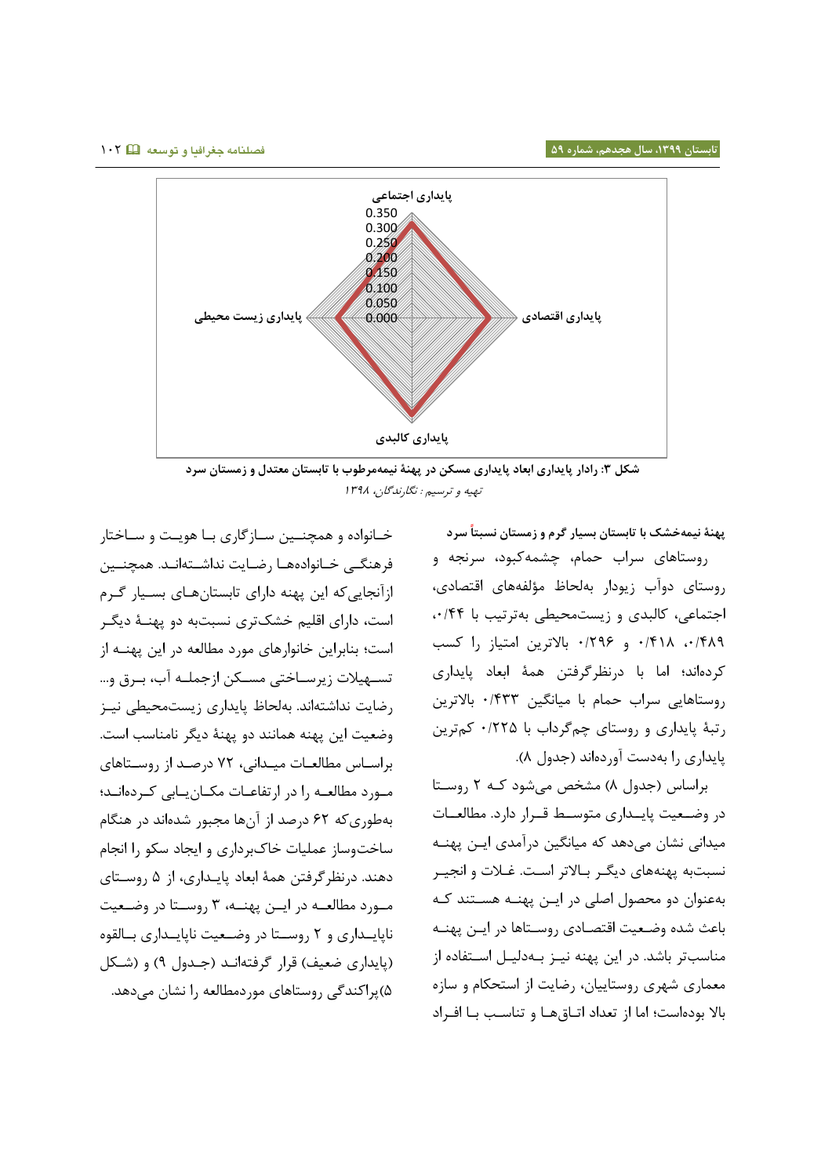

**شکل :9 رادار پایداری ابعاد پایداری مسکن در پهنۀ نیمهمرطوب با تابستان معتدل و زمستان سرد** تهیه و ترسیم : نگارندگان، 0823

**پهنۀ نیمهخشک با تابستان بسیار گرم و زمستان نسبتا سرد** روستاهای سراب حمام، چشمهکبود، سرنجه و روستای دوآب زیودار بهلحاظ مؤلفههای اقتصادی، اجتماعی، کالبدی و زیستمحیطی بهترتیب با ،1/88 ،1/832 1/803 و 1/721 باالترین امتیاز را کسب کردهاند؛ اما با درنظرگرفتن همۀ ابعاد پایداری روستاهایی سراب حمام با میانگین 1/888 باالترین رتبۀ پایداری و روستای چمگرداب با 1/778 کمترین پایداری را بهدست آوردهاند )جدول 3(.

براساس (جدول ٨) مشخص می شود کـه ٢ روسـتا در وضـعیت پایــداری متوسـط قــرار دارد. مطالعــات میدانی نشان می دهد که میانگین درآمدی ایان پهناه نسبتبه پهنههای دیگـر بـالاتر اسـت. غـلات و انجيـر به عنوان دو محصول اصلی در ایان پهنا ه هساتند کاه باعث شده وضعیت اقتصادی روستاها در ایـن پهنـه مناسب تر باشد . در این پهنه نیاز باه دلیال اساتفاده از معماری شهری روستاییان، رضایت از استحکام و سازه بالا بوده است؛ اما از تعداد اتـاق هـا و تناسـب بـا افـراد

خــانواده و همچنــین ســازگاری بــا هویــت و ســاختار فرهنگے خانوادههـا رضـایت نداشـته|نـد. همچنــین از آنجایی که این پهنه دارای تابستان هاای بسایار گارم است، دارای اقلیم خشک تری نسبت به دو پهنا ۀ دیگار است؛ بنابراین خانوارهای مورد مطالعه در این پهناه از تسهیلات زیرسـاختی مسـکن ازجملـه آب، بـرق و ... رضایت نداشته اند. به لحاظ پایداری زیست محیطی نیاز وضعیت این پهنه همانند دو پهنۀ دیگر نامناسب است . براساس مطالعات میدانی، ۷۲ درصد از روستاهای مـورد مطالعـه را در ارتفاعـات مکـان یـابی کـردهانـد؛ به طوری که 17 درصد از آن ها مجبور شده اند در هنگام سا خت وساز عملیات خاک برداری و ایجاد سکو را انجام دهند . در نظر گرفتن همۀ ابعاد پایاداری، از 8 روساتای مـورد مطالعــه در ایــن پهنــه، ۳ روســتا در وضـعیت ناپایـداری و ۲ روسـتا در وضـعیت ناپایـداری بـالقوه (پایداری ضعیف) قرار گرفتهانـد (جـدول ۹) و (شـکل 8( پراکندگی روستاهای مورد مطالعه را نشان می دهد.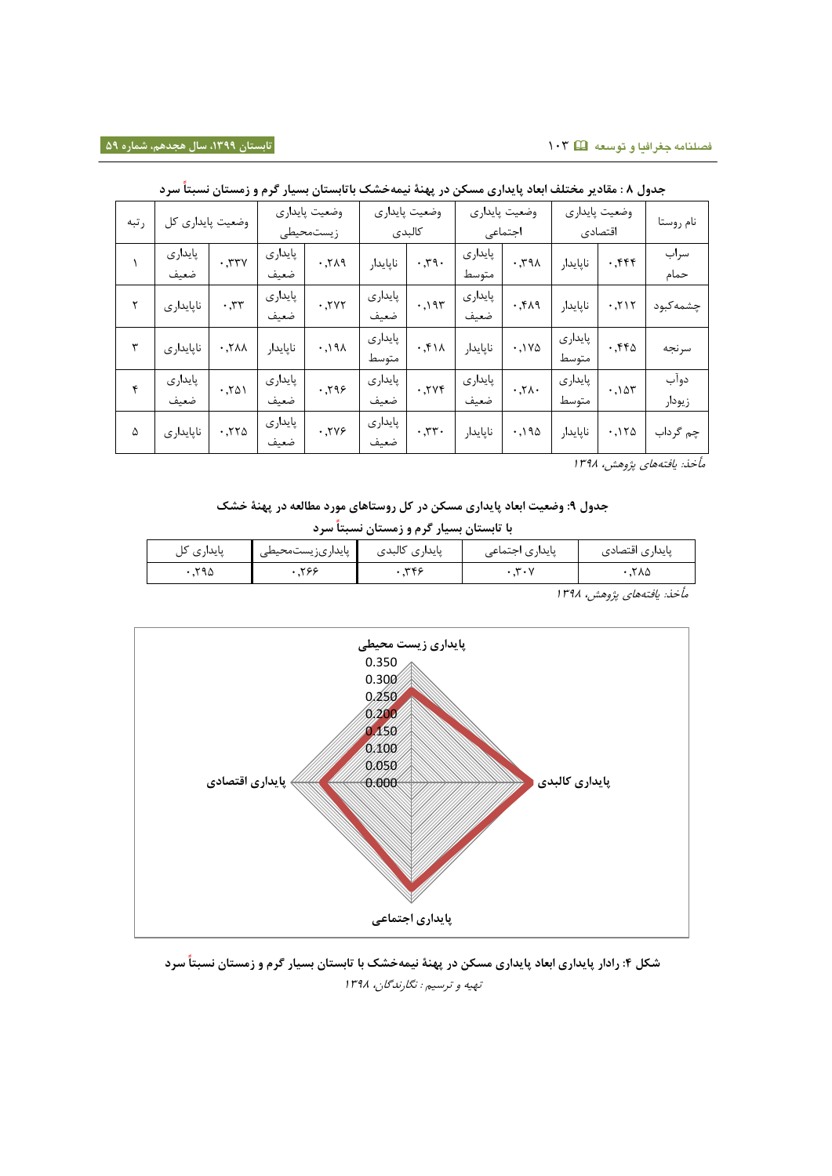| رتبه | کل              | وضعيت پايداري        | وضعيت پايداري<br>زيستمحيطى |                     | وضعيت پايداري<br>كالبدى |                           | وضعيت پايداري<br>اجتماعى |             | وضعيت پايداري<br>اقتصادى |      | نام روستا      |
|------|-----------------|----------------------|----------------------------|---------------------|-------------------------|---------------------------|--------------------------|-------------|--------------------------|------|----------------|
|      | پايدارى<br>ضعيف | .774                 | پايدارى<br>ضعيف            | .719                | ناپايدار                | $\cdot$ , $\mathbf{y}$ q. | پايدارى<br>متوسط         | .791        | ناپايدار                 | .555 | سراب<br>حمام   |
|      | ناپايدارى       | $\cdot$ , $\tau\tau$ | پایداری<br>ضعيف            | .7Y                 | پايدارى<br>ضعيف         | .195                      | پايدارى<br>ضعيف          | .54.9       | ناپايدار                 | .711 | چشمه کبود      |
| ٣    | ناپايدارى       | .7 <sub>1</sub>      | ناپايدار                   | $\cdot$ , $\lambda$ | پايدارى<br>متوسط        | .511                      | ناپايدار                 | $.1Y\Delta$ | پايدارى<br>متوسط         | .550 | سرنجه          |
| ۴    | پايدارى<br>ضعيف | .701                 | پایداری<br>ضعيف            | .799                | پايدارى<br>ضعيف         | .7Yf                      | پايدارى<br>ضعيف          | .71.        | پايدارى<br>متوسط         | .105 | دوآب<br>زيودار |
| ۵    | ناپايدارى       | .770                 | پايدارى<br>ضعيف            | .749                | پايدارى<br>ضعيف         | .77.                      | ناپايدار                 | .190        | ناپايدار                 | .150 | چم گرداب       |

**جدول 2 : مقادیر مختلف ابعاد پایداری مسکن در پهنۀ نیمه خشک باتابستان بسیار گرم و زمستان نسبتا سرد**

مأخذ: یافتههای پژوهش، ۱۳۹۸

**جدول :5 وضعیت ابعاد پایداری مسکن در کل روستاهای مورد مطالعه در پهنۀ خشک** 

**با تابستان بسیار گرم و زمستان نسبتا سرد**

| پایداری آ | پایداریزیستمحیطی | پایداری کالبدی | پایداری اجتماع <sub>ی</sub> | پایداری اقتصادی |
|-----------|------------------|----------------|-----------------------------|-----------------|
| ≺۹۵       | .۲۶۶             | <b>WEC</b>     | سه<br>$\cdots$              | ۲۸۵             |

مأخذ: یافتههای پژوهش، ۱۳۹۸



**شکل :4 رادار پایداری ابعاد پایداری مسکن در پهنۀ نیمهخشک با تابستان بسیار گرم و زمستان نسبتا سرد** تهیه و ترسیم : نگارندگان، 0823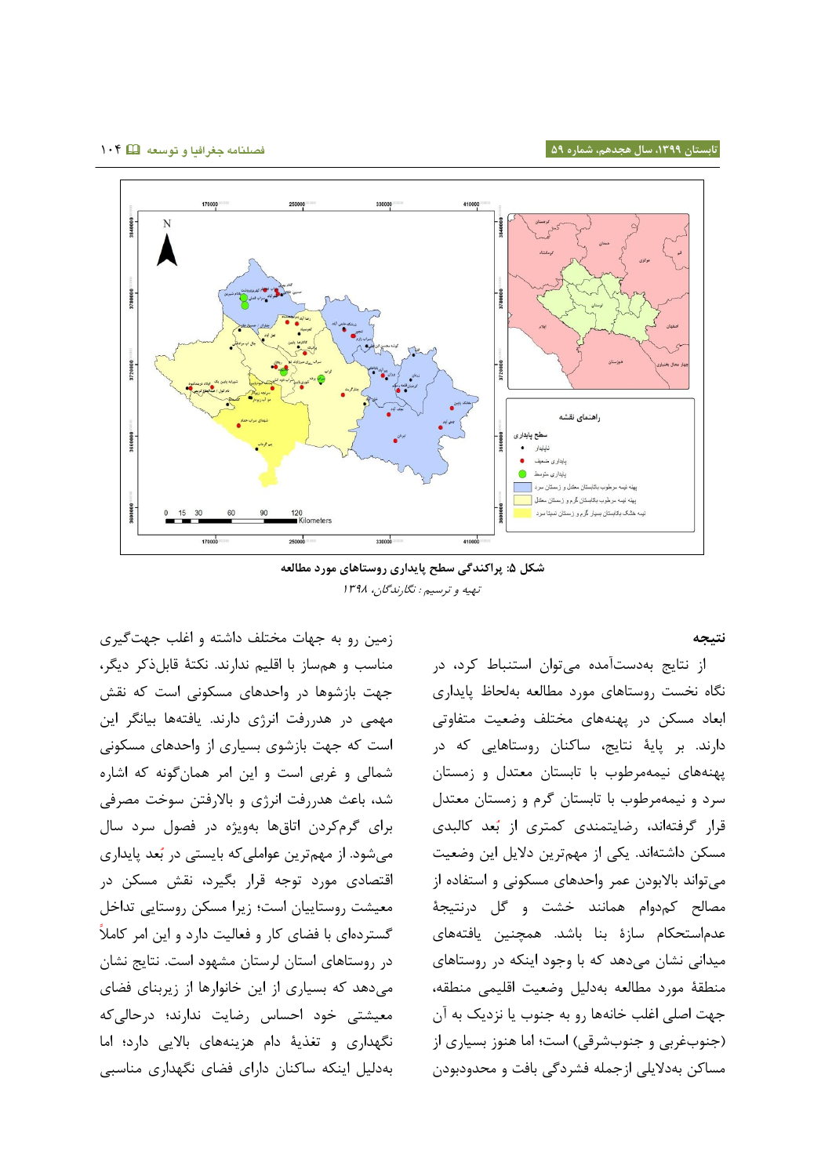

**شکل :9 پراکندگی سطح پایداری روستاهای مورد مطالعه** تهیه و ترسیم : نگارندگان، 0823

#### **نتیجه**

از نتایج بهدستآمده میتوان استنباط کرد، در نگاه نخست روستاهای مورد مطالعه بهلحاظ پایداری ابعاد مسکن در پهنههای مختلف وضعیت متفاوتی دارند. بر پایۀ نتایج، ساکنان روستاهایی که در پهنههای نیمهمرطوب با تابستان معتدل و زمستان سرد و نیمهمرطوب با تابستان گرم و زمستان معتدل قرار گرفتهاند، رضایتمندی کمتری از بُعد کالبدی مسکن داشتهاند. یکی از مهمترین دالیل این وضعیت میتواند باالبودن عمر واحدهای مسکونی و استفاده از مصالح کمدوام همانند خشت و گل درنتیجۀ عدماستحکام سازۀ بنا باشد. همچنین یافتههای میدانی نشان میدهد که با وجود اینکه در روستاهای منطقۀ مورد مطالعه بهدلیل وضعیت اقلیمی منطقه، جهت اصلی اغلب خانهها رو به جنوب یا نزدیک به آن (جنوبغربی و جنوبشرقی) است؛ اما هنوز بسیاری از مساکن بهدالیلی ازجمله فشردگی بافت و محدودبودن

زمین رو به جهات مختلف داشته و اغلب جهتگیری مناسب و همساز با اقلیم ندارند. نکتۀ قابلذکر دیگر، جهت بازشوها در واحدهای مسکونی است که نقش مهمی در هدررفت انرژی دارند. یافتهها بیانگر این است که جهت بازشوی بسیاری از واحدهای مسکونی شمالی و غربی است و این امر همانگونه که اشاره شد، باعث هدررفت انرژی و باالرفتن سوخت مصرفی برای گرمکردن اتاقها بهویژه در فصول سرد سال میشود. از مهمترین عواملی که بایستی در ب عد پایداری اقتصادی مورد توجه قرار بگیرد، نقش مسکن در معیشت روستاییان است؛ زیرا مسکن روستایی تداخل گستردهای با فضای کار و فعالیت دارد و این امر کامال در روستاهای استان لرستان مشهود است. نتایج نشان میدهد که بسیاری از این خانوارها از زیربنای فضای معیشتی خود احساس رضایت ندارند؛ درحالیکه نگهداری و تغذیۀ دام هزینههای باالیی دارد؛ اما بهدلیل اینکه ساکنان دارای فضای نگهداری مناسبی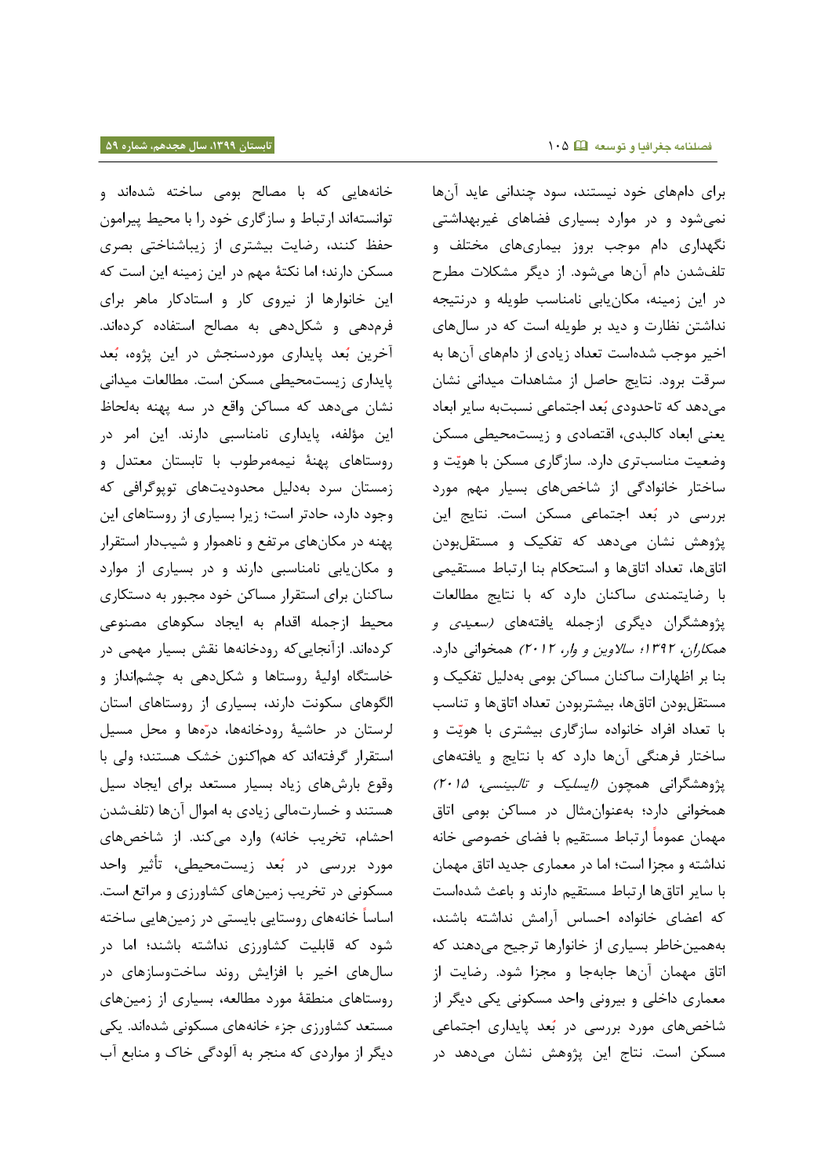خانههایی که با مصالح بومی ساخته شدهاند و توانستهاند ارتباط و سازگاری خود را با محیط پیرامون حفظ کنند، رضایت بیشتری از زیباشناختی بصری مسکن دارند؛ اما نکتۀ مهم در این زمینه این است که این خانوارها از نیروی کار و استادکار ماهر برای فرمدهی و شکلدهی به مصالح استفاده کردهاند. آخرین بُعد پایداری موردسنجش در این پژوه، بُعد پایداری زیستمحیطی مسکن است. مطالعات میدانی نشان میدهد که مساکن واقع در سه پهنه بهلحاظ این مؤلفه، پایداری نامناسبی دارند. این امر در روستاهای پهنۀ نیمهمرطوب با تابستان معتدل و زمستان سرد بهدلیل محدودیتهای توپوگرافی که وجود دارد، حادتر است؛ زیرا بسیاری از روستاهای این پهنه در مکانهای مرتفع و ناهموار و شیبدار استقرار و مکانیابی نامناسبی دارند و در بسیاری از موارد ساکنان برای استقرار مساکن خود مجبور به دستکاری محیط ازجمله اقدام به ایجاد سکوهای مصنوعی کردهاند. ازآنجاییکه رودخانهها نقش بسیار مهمی در خاستگاه اولیۀ روستاها و شکلدهی به چشمانداز و الگوهای سکونت دارند، بسیاری از روستاهای استان لرستان در حاشیۀ رودخانه ها، در هها و محل مسیل استقرار گرفتهاند که هماکنون خشک هستند؛ ولی با وقوع بارشهای زیاد بسیار مستعد برای ایجاد سیل هستند و خسارتمالی زیادی به اموال آنها )تلفشدن احشام، تخریب خانه) وارد میکند. از شاخصهای مورد بررسی در بُعد زیستمحیطی، تأثیر واحد مسکونی در تخریب زمینهای کشاورزی و مراتع است. اساسا خانههای روستایی بایستی در زمینهایی ساخته شود که قابلیت کشاورزی نداشته باشند؛ اما در سالهای اخیر با افزایش روند ساختوسازهای در روستاهای منطقۀ مورد مطالعه، بسیاری از زمینهای مستعد کشاورزی جزء خانههای مسکونی شدهاند. یکی دیگر از مواردی که منجر به آلودگی خاک و منابع آب

برای دامهای خود نیستند، سود چندانی عاید آنها نمیشود و در موارد بسیاری فضاهای غیربهداشتی نگهداری دام موجب بروز بیماریهای مختلف و تلفشدن دام آنها میشود. از دیگر مشکالت مطرح در این زمینه، مکانیابی نامناسب طویله و درنتیجه نداشتن نظارت و دید بر طویله است که در سالهای اخیر موجب شدهاست تعداد زیادی از دامهای آنها به سرقت برود. نتایج حاصل از مشاهدات میدانی نشان میدهد که تاحدودی بُعد اجتماعی نسبتبه سایر ابعاد یعنی ابعاد کالبدی، اقتصادی و زیستمحیطی مسکن وضعیت مناسبتری دارد. سازگاری مسکن با هویّت و ساختار خانوادگی از شاخصهای بسیار مهم مورد بررسی در بُعد اجتماعی مسکن است. نتایج این پژوهش نشان میدهد که تفکیک و مستقلبودن اتاقها، تعداد اتاقها و استحکام بنا ارتباط مستقیمی با رضایتمندی ساکنان دارد که با نتایج مطالعات پژوهشگران دیگری ازجمله یافتههای )سعیدی و همکاران، 0827؛ ساالوین و وار، 7107( همخوانی دارد. بنا بر اظهارات ساکنان مساکن بومی بهدلیل تفکیک و مستقلبودن اتاقها، بیشتربودن تعداد اتاقها و تناسب با تعداد افراد خانواده سازگاری بیشتری با هویّت و ساختار فرهنگی آنها دارد که با نتایج و یافتههای پژوهشگرانی همچون *(ایسلیک و تالبینسی، ۲۰۱۵)* همخوانی دارد؛ بهعنوانمثال در مساکن بومی اتاق مهمان عموما ارتباط مستقیم با فضای خصوصی خانه نداشته و مجزا است؛ اما در معماری جدید اتاق مهمان با سایر اتاقها ارتباط مستقیم دارند و باعث شدهاست که اعضای خانواده احساس آرامش نداشته باشند، بههمینخاطر بسیاری از خانوارها ترجیح میدهند که اتاق مهمان آنها جابهجا و مجزا شود. رضایت از معماری داخلی و بیرونی واحد مسکونی یکی دیگر از شاخصهای مورد بررسی در بُعد پایداری اجتماعی مسکن است. نتاج این پژوهش نشان میدهد در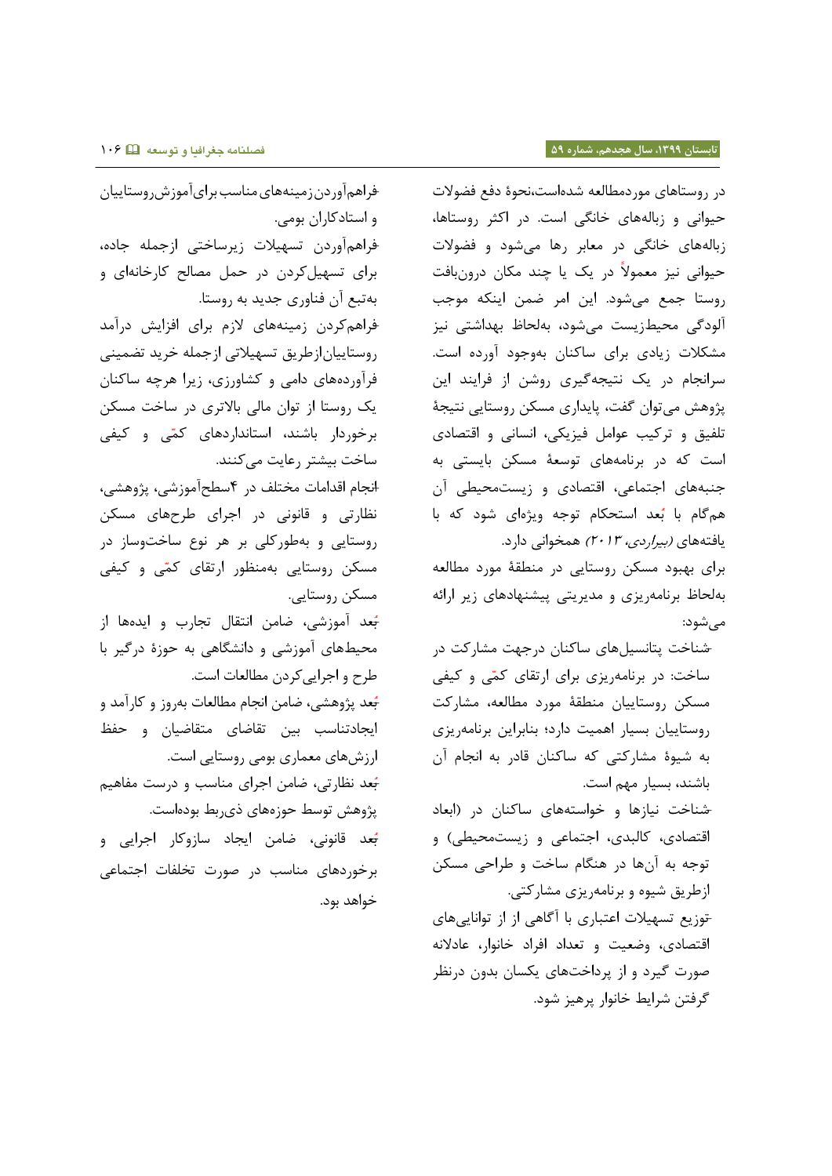## **تابستان ،9911 سال هجدهم، شماره 51 فصلنامه جغرافیا و توسعه** 011

در روستاهای موردمطالعه شدهاست،نحوۀ دفع فضوالت حیوانی و زبالههای خانگی است. در اکثر روستاها، زبالههای خانگی در معابر رها میشود و فضوالت حیوانی نیز معموال در یک یا چند مکان درونبافت روستا جمع میشود. این امر ضمن اینکه موجب آلودگی محیطزیست میشود، بهلحاظ بهداشتی نیز مشکالت زیادی برای ساکنان بهوجود آورده است. سرانجام در یک نتیجهگیری روشن از فرایند این پژوهش میتوان گفت، پایداری مسکن روستایی نتیجۀ تلفیق و ترکیب عوامل فیزیکی، انسانی و اقتصادی است که در برنامههای توسعۀ مسکن بایستی به جنبههای اجتماعی، اقتصادی و زیستمحیطی آن هم گام با ب عد استحکام توجه ویژهای شود که با یافتههای *(بیراردی، ۲۰۱۳)* همخوانی دارد. برای بهبود مسکن روستایی در منطقۀ مورد مطالعه

بهلحاظ برنامهریزی و مدیریتی پیشنهادهای زیر ارائه میشود:

-شناخت پتانسیلهای ساکنان درجهت مشارکت در ساخت: در برنامهریزی برای ارتقای کمّی و کیفی مسکن روستاییان منطقۀ مورد مطالعه، مشارکت روستاییان بسیار اهمیت دارد؛ بنابراین برنامهریزی به شیوۀ مشارکتی که ساکنان قادر به انجام آن باشند، بسیار مهم است.

-شناخت نیازها و خواستههای ساکنان در )ابعاد اقتصادی، کالبدی، اجتماعی و زیستمحیطی) و توجه به آنها در هنگام ساخت و طراحی مسکن ازطریق شیوه و برنامهریزی مشارکتی.

-توزیع تسهیالت اعتباری با آگاهی از از تواناییهای اقتصادی، وضعیت و تعداد افراد خانوار، عادالنه صورت گیرد و از پرداختهای یکسان بدون درنظر گرفتن شرایط خانوار پرهیز شود.

-فراهمآوردنزمینههایمناسببرایآموزشروستاییان و استادکاران بومی. -فراهمآوردن تسهیالت زیرساختی ازجمله جاده، برای تسهیلکردن در حمل مصالح کارخانهای و بهتبع آن فناوری جدید به روستا. -فراهمکردن زمینههای الزم برای افزایش درآمد روستاییانازطریق تسهیالتی ازجمله خرید تضمینی فرآوردههای دامی و کشاورزی، زیرا هرچه ساکنان یک روستا از توان مالی باالتری در ساخت مسکن برخوردار باشند، استانداردهای کم ی و کیفی ساخت بیشتر رعایت میکنند. -انجام اقدامات مختلف در 8سطحآموزشی، پژوهشی، نظارتی و قانونی در اجرای طرحهای مسکن روستایی و بهطورکلی بر هر نوع ساختوساز در مسکن روستایی به منظور ارتقای کم ی و کیفی مسکن روستایی. ب -عد آموزشی، ضامن انتقال تجارب و ایدهها از محیطهای آموزشی و دانشگاهی به حوزۀ درگیر با طرح و اجراییکردن مطالعات است. <del>بُ</del>عد پژوهشی، ضامن انجام مطالعات بهروز و کارآمد و ایجادتناسب بین تقاضای متقاضیان و حف ارزشهای معماری بومی روستایی است. ب -عد نظارتی، ضامن اجرای مناسب و درست مفاهیم پژوهش توسط حوزههای ذیربط بودهاست. <del>بُع</del>د قانونی، ضامن ایجاد سازوکار اجرایی و برخوردهای مناسب در صورت تخلفات اجتماعی خواهد بود.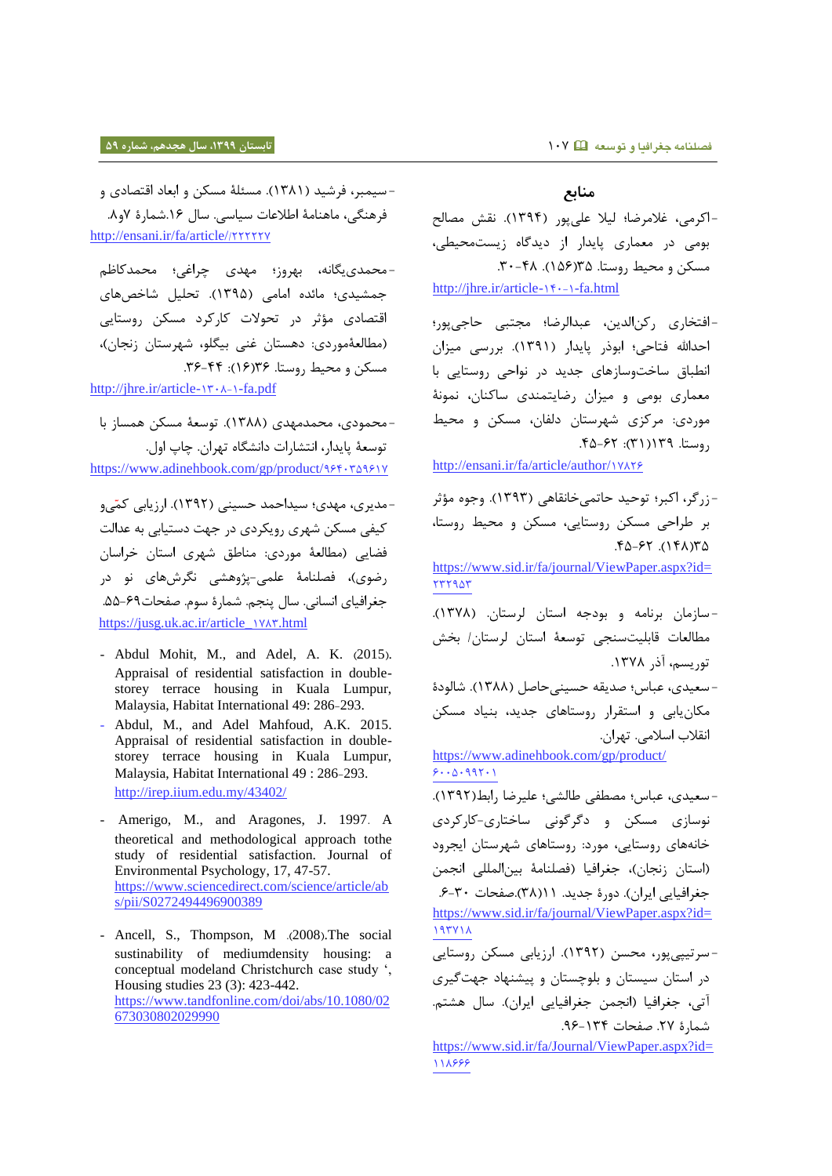- سیمبر، فرشید )0830(. مسئلۀ مسکن و ابعاد اقتصادی و

فرهنگی، ماهنامۀ اطالعات سیاسی. سال .01شمارۀ 2و.3 [http://ensani.ir/fa/article/](http://ensani.ir/fa/article/222227/)/777772

-محمدییگانه، بهروز؛ مهدی چراغی؛ محمدکاظم جمشیدی؛ مائده امامی )0828(. تحلیل شاخصهای اقتصادی مؤثر در تحوالت کارکرد مسکن روستایی (مطالعۀموردی: دهستان غنی بیگلو، شهرستان زنجان)، مسکن و محیط روستا. ۱۶۳۶(۱۶): ۳۶-۳۶. [http://jhre.ir/article-](http://jhre.ir/article-1-1308-fa.pdf)1۳۰۸-1-fa.pdf

-محمودی، محمدمهدی )0833(. توسعۀ مسکن همساز با توسعۀ پایدار، انتشارات دانشگاه تهران. چاپ اول. [https://www.adinehbook.com/gp/product/](https://www.adinehbook.com/gp/product/9640359617)989+3981V

-مدیری، مهدی؛ سیداحمد حسینی )0827(. ارزیابی کم یو کیفی مسکن شهری رویکردی در جهت دستیابی به عدالت فضایی )مطالعۀ موردی: مناطق شهری استان خراسان رضوی(، فصلنامۀ علمی-پژوهشی نگرشهای نو در جغرافیای انسانی. سال پنجم. شمارۀ سوم. صفحات.88-12 [https://jusg.uk.ac.ir/article\\_](https://jusg.uk.ac.ir/article_1783.html)vxx.html

- Abdul Mohit, M., and Adel, A. K.  $(2015)$ . Appraisal of residential satisfaction in doublestorey terrace housing in Kuala Lumpur, Malaysia, Habitat International 49: 286-293.
- Abdul, M., and Adel Mahfoud, A.K. 2015. Appraisal of residential satisfaction in doublestorey terrace housing in Kuala Lumpur, Malaysia, Habitat International 49 : 286-293. <http://irep.iium.edu.my/43402/>
- Amerigo, M., and Aragones, J. 1997. A theoretical and methodological approach tothe study of residential satisfaction. Journal of Environmental Psychology, 17, 47-57. [https://www.sciencedirect.com/science/article/ab](https://www.sciencedirect.com/science/article/abs/pii/S0272494496900389) [s/pii/S0272494496900389](https://www.sciencedirect.com/science/article/abs/pii/S0272494496900389)
- Ancell, S., Thompson, M .(2008). The social sustinability of mediumdensity housing: a conceptual modeland Christchurch case study ', Housing studies 23 (3): 423-442. [https://www.tandfonline.com/doi/abs/10.1080/02](https://www.tandfonline.com/doi/abs/10.1080/02673030802029990) [673030802029990](https://www.tandfonline.com/doi/abs/10.1080/02673030802029990)

## **منابع**

-اکرمی، غالمرضا؛ لیال علیپور )0828(. نقش مصالح بومی در معماری پایدار از دیدگاه زیستمحیطی، مسکن و محیط روستا. ۹۵(۵۶). ۴۸-۳۰.

[http://jhre.ir/article-](http://jhre.ir/article-1-140-fa.html)1f ·-1-fa.html

-افتخاری رکنالدین، عبدالرضا؛ مجتبی حاجیپور؛ احدالله فتاحی؛ ابوذر پایدار (۱۳۹۱). بررسی میزان انطباق ساختوسازهای جدید در نواحی روستایی با معماری بومی و میزان رضایتمندی ساکنان، نمونۀ موردی: مرکزی شهرستان دلفان، مسکن و محیط  $(6-5)$ وستا. 198 $(1)$ : 78-67.

[http://ensani.ir/fa/article/author/](http://ensani.ir/fa/article/author/17826)1YAYS

-زرگر، اکبر؛ توحید حاتمیخانقاهی )0828(. وجوه مؤثر بر طراحی مسکن روستایی، مسکن و محیط روستا،  $P_{\Delta-F}$   $(P_{\Delta})$ [https://www.sid.ir/fa/journal/ViewPaper.aspx?id=](https://www.sid.ir/fa/journal/ViewPaper.aspx?id=232953) 777907 - سازمان برنامه و بودجه استان لرستان. )0823(. مطالعات قابلیتسنجی توسعۀ استان لرستان/ بخش توریسم، آذر .0823 - سعیدی، عباس؛ صدیقه حسینیحاصل )0833(. شالودۀ مکانیابی و استقرار روستاهای جدید، بنیاد مسکن انقالب اسالمی. تهران. [https://www.adinehbook.com/gp/product/](https://www.adinehbook.com/gp/product/6005099201)  $9.000111$ - سعیدی، عباس؛ مصطفی طالشی؛ علیرضا رابط)0827(. نوسازی مسکن و دگرگونی ساختاری-کارکردی خانههای روستایی، مورد: روستاهای شهرستان ایجرود )استان زنجان(، جغرافیا )فصلنامۀ بینالمللی انجمن جغرافیایی ایران). دورۀ جدید. ( (۳۸).صفحات ٣٠-۶. [https://www.sid.ir/fa/journal/ViewPaper.aspx?id=](https://www.sid.ir/fa/journal/ViewPaper.aspx?id=193718) 19311 - سرتیپیپور، محسن )0827(. ارزیابی مسکن روستایی در استان سیستان و بلوچستان و پیشنهاد جهتگیری آتی، جغرافیا (انجمن جغرافیایی ایران). سال هشتم. شمارهٔ ٢٧. صفحات ١٣۴-٩۶. [https://www.sid.ir/fa/Journal/ViewPaper.aspx?id=](https://www.sid.ir/fa/Journal/ViewPaper.aspx?id=118666)

111999